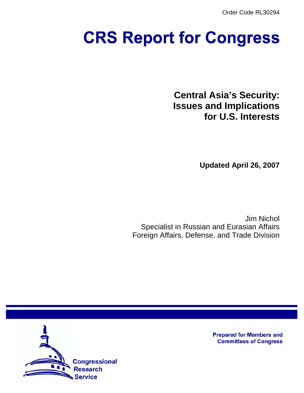Order Code RL30294

# **CRS Report for Congress**

**Central Asia's Security: Issues and Implications for U.S. Interests**

**Updated April 26, 2007**

Jim Nichol Specialist in Russian and Eurasian Affairs Foreign Affairs, Defense, and Trade Division



**Prepared for Members and Committees of Congress**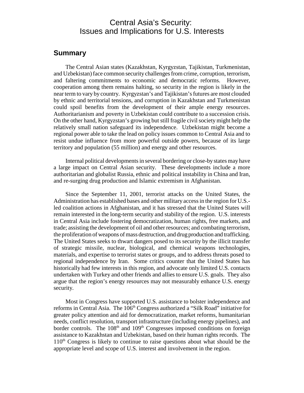# Central Asia's Security: Issues and Implications for U.S. Interests

## **Summary**

The Central Asian states (Kazakhstan, Kyrgyzstan, Tajikistan, Turkmenistan, and Uzbekistan) face common security challenges from crime, corruption, terrorism, and faltering commitments to economic and democratic reforms. However, cooperation among them remains halting, so security in the region is likely in the near term to vary by country. Kyrgyzstan's and Tajikistan's futures are most clouded by ethnic and territorial tensions, and corruption in Kazakhstan and Turkmenistan could spoil benefits from the development of their ample energy resources. Authoritarianism and poverty in Uzbekistan could contribute to a succession crisis. On the other hand, Kyrgyzstan's growing but still fragile civil society might help the relatively small nation safeguard its independence. Uzbekistan might become a regional power able to take the lead on policy issues common to Central Asia and to resist undue influence from more powerful outside powers, because of its large territory and population (55 million) and energy and other resources.

Internal political developments in several bordering or close-by states may have a large impact on Central Asian security. These developments include a more authoritarian and globalist Russia, ethnic and political instability in China and Iran, and re-surging drug production and Islamic extremism in Afghanistan.

Since the September 11, 2001, terrorist attacks on the United States, the Administration has established bases and other military access in the region for U.S. led coalition actions in Afghanistan, and it has stressed that the United States will remain interested in the long-term security and stability of the region. U.S. interests in Central Asia include fostering democratization, human rights, free markets, and trade; assisting the development of oil and other resources; and combating terrorism, the proliferation of weapons of mass destruction, and drug production and trafficking. The United States seeks to thwart dangers posed to its security by the illicit transfer of strategic missile, nuclear, biological, and chemical weapons technologies, materials, and expertise to terrorist states or groups, and to address threats posed to regional independence by Iran. Some critics counter that the United States has historically had few interests in this region, and advocate only limited U.S. contacts undertaken with Turkey and other friends and allies to ensure U.S. goals. They also argue that the region's energy resources may not measurably enhance U.S. energy security.

Most in Congress have supported U.S. assistance to bolster independence and reforms in Central Asia. The 106<sup>th</sup> Congress authorized a "Silk Road" initiative for greater policy attention and aid for democratization, market reforms, humanitarian needs, conflict resolution, transport infrastructure (including energy pipelines), and border controls. The  $108<sup>th</sup>$  and  $109<sup>th</sup>$  Congresses imposed conditions on foreign assistance to Kazakhstan and Uzbekistan, based on their human rights records. The  $110<sup>th</sup>$  Congress is likely to continue to raise questions about what should be the appropriate level and scope of U.S. interest and involvement in the region.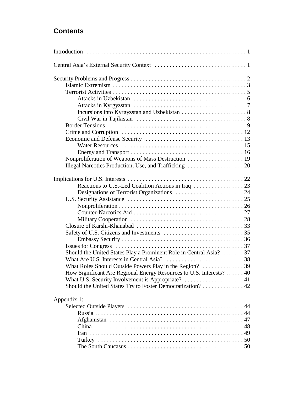# **Contents**

| Should the United States Play a Prominent Role in Central Asia? 37                      |  |
|-----------------------------------------------------------------------------------------|--|
|                                                                                         |  |
| What Roles Should Outside Powers Play in the Region?  39                                |  |
| How Significant Are Regional Energy Resources to U.S. Interests? 40                     |  |
| What U.S. Security Involvement is Appropriate? $\dots \dots \dots \dots \dots \dots 41$ |  |
| Should the United States Try to Foster Democratization? 42                              |  |
|                                                                                         |  |
| Appendix 1:                                                                             |  |
|                                                                                         |  |
|                                                                                         |  |
|                                                                                         |  |
|                                                                                         |  |
|                                                                                         |  |
|                                                                                         |  |
|                                                                                         |  |
|                                                                                         |  |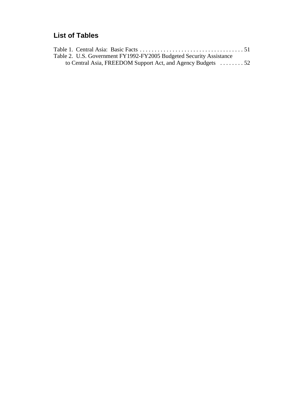# **List of Tables**

| Table 2. U.S. Government FY1992-FY2005 Budgeted Security Assistance |  |
|---------------------------------------------------------------------|--|
| to Central Asia, FREEDOM Support Act, and Agency Budgets 52         |  |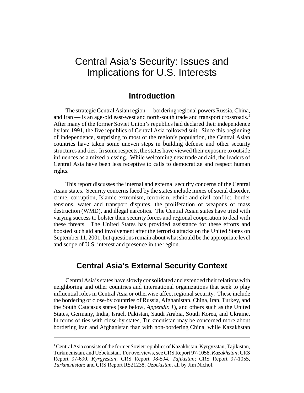# Central Asia's Security: Issues and Implications for U.S. Interests

## **Introduction**

The strategic Central Asian region — bordering regional powers Russia, China, and Iran — is an age-old east-west and north-south trade and transport crossroads.<sup>1</sup> After many of the former Soviet Union's republics had declared their independence by late 1991, the five republics of Central Asia followed suit. Since this beginning of independence, surprising to most of the region's population, the Central Asian countries have taken some uneven steps in building defense and other security structures and ties. In some respects, the states have viewed their exposure to outside influences as a mixed blessing. While welcoming new trade and aid, the leaders of Central Asia have been less receptive to calls to democratize and respect human rights.

This report discusses the internal and external security concerns of the Central Asian states. Security concerns faced by the states include mixes of social disorder, crime, corruption, Islamic extremism, terrorism, ethnic and civil conflict, border tensions, water and transport disputes, the proliferation of weapons of mass destruction (WMD), and illegal narcotics. The Central Asian states have tried with varying success to bolster their security forces and regional cooperation to deal with these threats. The United States has provided assistance for these efforts and boosted such aid and involvement after the terrorist attacks on the United States on September 11, 2001, but questions remain about what should be the appropriate level and scope of U.S. interest and presence in the region.

# **Central Asia's External Security Context**

Central Asia's states have slowly consolidated and extended their relations with neighboring and other countries and international organizations that seek to play influential roles in Central Asia or otherwise affect regional security. These include the bordering or close-by countries of Russia, Afghanistan, China, Iran, Turkey, and the South Caucasus states (see below, *Appendix 1*), and others such as the United States, Germany, India, Israel, Pakistan, Saudi Arabia, South Korea, and Ukraine. In terms of ties with close-by states, Turkmenistan may be concerned more about bordering Iran and Afghanistan than with non-bordering China, while Kazakhstan

<sup>&</sup>lt;sup>1</sup> Central Asia consists of the former Soviet republics of Kazakhstan, Kyrgyzstan, Tajikistan, Turkmenistan, and Uzbekistan. For overviews, see CRS Report 97-1058, *Kazakhstan*; CRS Report 97-690, *Kyrgyzstan*; CRS Report 98-594, *Tajikistan*; CRS Report 97-1055, *Turkmenistan*; and CRS Report RS21238, *Uzbekistan*, all by Jim Nichol.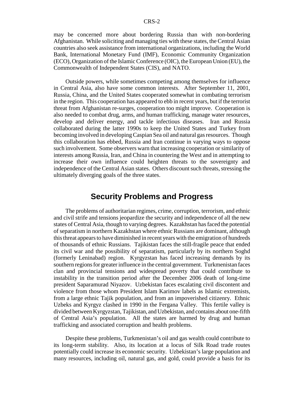may be concerned more about bordering Russia than with non-bordering Afghanistan. While soliciting and managing ties with these states, the Central Asian countries also seek assistance from international organizations, including the World Bank, International Monetary Fund (IMF), Economic Community Organization (ECO), Organization of the Islamic Conference (OIC), the European Union (EU), the Commonwealth of Independent States (CIS), and NATO.

Outside powers, while sometimes competing among themselves for influence in Central Asia, also have some common interests. After September 11, 2001, Russia, China, and the United States cooperated somewhat in combating terrorism in the region. This cooperation has appeared to ebb in recent years, but if the terrorist threat from Afghanistan re-surges, cooperation too might improve. Cooperation is also needed to combat drug, arms, and human trafficking, manage water resources, develop and deliver energy, and tackle infectious diseases. Iran and Russia collaborated during the latter 1990s to keep the United States and Turkey from becoming involved in developing Caspian Sea oil and natural gas resources. Though this collaboration has ebbed, Russia and Iran continue in varying ways to oppose such involvement. Some observers warn that increasing cooperation or similarity of interests among Russia, Iran, and China in countering the West and in attempting to increase their own influence could heighten threats to the sovereignty and independence of the Central Asian states. Others discount such threats, stressing the ultimately diverging goals of the three states.

## **Security Problems and Progress**

The problems of authoritarian regimes, crime, corruption, terrorism, and ethnic and civil strife and tensions jeopardize the security and independence of all the new states of Central Asia, though to varying degrees. Kazakhstan has faced the potential of separatism in northern Kazakhstan where ethnic Russians are dominant, although this threat appears to have diminished in recent years with the emigration of hundreds of thousands of ethnic Russians. Tajikistan faces the still-fragile peace that ended its civil war and the possibility of separatism, particularly by its northern Soghd (formerly Leninabad) region. Kyrgyzstan has faced increasing demands by its southern regions for greater influence in the central government. Turkmenistan faces clan and provincial tensions and widespread poverty that could contribute to instability in the transition period after the December 2006 death of long-time president Saparamurad Niyazov. Uzbekistan faces escalating civil discontent and violence from those whom President Islam Karimov labels as Islamic extremists, from a large ethnic Tajik population, and from an impoverished citizenry. Ethnic Uzbeks and Kyrgyz clashed in 1990 in the Fergana Valley. This fertile valley is divided between Kyrgyzstan, Tajikistan, and Uzbekistan, and contains about one-fifth of Central Asia's population. All the states are harmed by drug and human trafficking and associated corruption and health problems.

Despite these problems, Turkmenistan's oil and gas wealth could contribute to its long-term stability. Also, its location at a locus of Silk Road trade routes potentially could increase its economic security. Uzbekistan's large population and many resources, including oil, natural gas, and gold, could provide a basis for its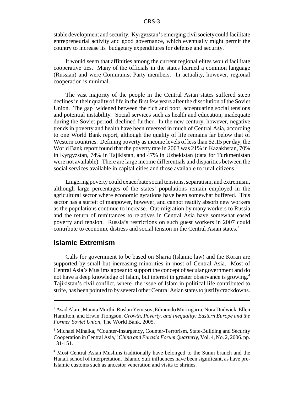stable development and security. Kyrgyzstan's emerging civil society could facilitate entrepreneurial activity and good governance, which eventually might permit the country to increase its budgetary expenditures for defense and security.

It would seem that affinities among the current regional elites would facilitate cooperative ties. Many of the officials in the states learned a common language (Russian) and were Communist Party members. In actuality, however, regional cooperation is minimal.

The vast majority of the people in the Central Asian states suffered steep declines in their quality of life in the first few years after the dissolution of the Soviet Union. The gap widened between the rich and poor, accentuating social tensions and potential instability. Social services such as health and education, inadequate during the Soviet period, declined further. In the new century, however, negative trends in poverty and health have been reversed in much of Central Asia, according to one World Bank report, although the quality of life remains far below that of Western countries. Defining poverty as income levels of less than \$2.15 per day, the World Bank report found that the poverty rate in 2003 was 21% in Kazakhstan, 70% in Kyrgyzstan, 74% in Tajikistan, and 47% in Uzbekistan (data for Turkmenistan were not available). There are large income differentials and disparities between the social services available in capital cities and those available to rural citizens.<sup>2</sup>

Lingering poverty could exacerbate social tensions, separatism, and extremism, although large percentages of the states' populations remain employed in the agricultural sector where economic gyrations have been somewhat buffered. This sector has a surfeit of manpower, however, and cannot readily absorb new workers as the populations continue to increase. Out-migration by many workers to Russia and the return of remittances to relatives in Central Asia have somewhat eased poverty and tension. Russia's restrictions on such guest workers in 2007 could contribute to economic distress and social tension in the Central Asian states.<sup>3</sup>

## **Islamic Extremism**

Calls for government to be based on Sharia (Islamic law) and the Koran are supported by small but increasing minorities in most of Central Asia. Most of Central Asia's Muslims appear to support the concept of secular government and do not have a deep knowledge of Islam, but interest in greater observance is growing.<sup>4</sup> Tajikistan's civil conflict, where the issue of Islam in political life contributed to strife, has been pointed to by several other Central Asian states to justify crackdowns.

<sup>&</sup>lt;sup>2</sup> Asad Alam, Mamta Murthi, Ruslan Yemtsov, Edmundo Murrugarra, Nora Dudwick, Ellen Hamilton, and Erwin Tiongson, *Growth, Poverty, and Inequality: Eastern Europe and the Former Soviet Union*, The World Bank, 2005.

<sup>&</sup>lt;sup>3</sup> Michael Mihalka, "Counter-Insurgency, Counter-Terrorism, State-Building and Security Cooperation in Central Asia," *China and Eurasia Forum Quarterly*, Vol. 4, No. 2, 2006. pp. 131-151.

<sup>&</sup>lt;sup>4</sup> Most Central Asian Muslims traditionally have belonged to the Sunni branch and the Hanafi school of interpretation. Islamic Sufi influences have been significant, as have pre-Islamic customs such as ancestor veneration and visits to shrines.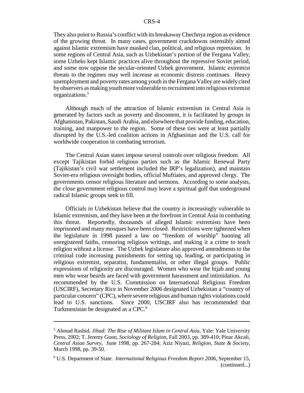They also point to Russia's conflict with its breakaway Chechnya region as evidence of the growing threat. In many cases, government crackdowns ostensibly aimed against Islamic extremism have masked clan, political, and religious repression. In some regions of Central Asia, such as Uzbekistan's portion of the Fergana Valley, some Uzbeks kept Islamic practices alive throughout the repressive Soviet period, and some now oppose the secular-oriented Uzbek government. Islamic extremist threats to the regimes may well increase as economic distress continues. Heavy unemployment and poverty rates among youth in the Fergana Valley are widely cited by observers as making youth more vulnerable to recruitment into religious extremist organizations.5

Although much of the attraction of Islamic extremism in Central Asia is generated by factors such as poverty and discontent, it is facilitated by groups in Afghanistan, Pakistan, Saudi Arabia, and elsewhere that provide funding, education, training, and manpower to the region. Some of these ties were at least partially disrupted by the U.S.-led coalition actions in Afghanistan and the U.S. call for worldwide cooperation in combating terrorism.

The Central Asian states impose several controls over religious freedom. All except Tajikistan forbid religious parties such as the Islamic Renewal Party (Tajikistan's civil war settlement included the IRP's legalization), and maintain Soviet-era religious oversight bodies, official Muftiates, and approved clergy. The governments censor religious literature and sermons. According to some analysts, the close government religious control may leave a spiritual gulf that underground radical Islamic groups seek to fill.

Officials in Uzbekistan believe that the country is increasingly vulnerable to Islamic extremism, and they have been at the forefront in Central Asia in combating this threat. Reportedly, thousands of alleged Islamic extremists have been imprisoned and many mosques have been closed. Restrictions were tightened when the legislature in 1998 passed a law on "freedom of worship" banning all unregistered faiths, censoring religious writings, and making it a crime to teach religion without a license. The Uzbek legislature also approved amendments to the criminal code increasing punishments for setting up, leading, or participating in religious extremist, separatist, fundamentalist, or other illegal groups. Public expressions of religiosity are discouraged. Women who wear the hijab and young men who wear beards are faced with government harassment and intimidation. As recommended by the U.S. Commission on International Religious Freedom (USCIRF), Secretary Rice in November 2006 designated Uzbekistan a "country of particular concern" (CPC), where severe religious and human rights violations could lead to U.S. sanctions. Since 2000, USCIRF also has recommended that Turkmenistan be designated as a CPC.<sup>6</sup>

<sup>5</sup> Ahmad Rashid, *Jihad: The Rise of Militant Islam in Central Asia*, Yale: Yale University Press, 2002; T. Jeremy Gunn, *Sociology of Religion*, Fall 2003, pp. 389-410; Pinar Akcali, *Central Asian Survey*, June 1998, pp. 267-284; Aziz Niyazi, *Religion, State & Society*, March 1998, pp. 39-50.

<sup>6</sup> U.S. Department of State. *International Religious Freedom Report 2006*, September 15, (continued...)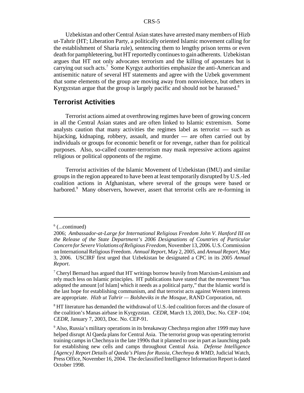Uzbekistan and other Central Asian states have arrested many members of Hizb ut-Tahrir (HT; Liberation Party, a politically oriented Islamic movement calling for the establishment of Sharia rule), sentencing them to lengthy prison terms or even death for pamphleteering, but HT reportedly continues to gain adherents. Uzbekistan argues that HT not only advocates terrorism and the killing of apostates but is carrying out such acts.<sup>7</sup> Some Kyrgyz authorities emphasize the anti-American and antisemitic nature of several HT statements and agree with the Uzbek government that some elements of the group are moving away from nonviolence, but others in Kyrgyzstan argue that the group is largely pacific and should not be harassed.<sup>8</sup>

## **Terrorist Activities**

Terrorist actions aimed at overthrowing regimes have been of growing concern in all the Central Asian states and are often linked to Islamic extremism. Some analysts caution that many activities the regimes label as terrorist — such as hijacking, kidnaping, robbery, assault, and murder — are often carried out by individuals or groups for economic benefit or for revenge, rather than for political purposes. Also, so-called counter-terrorism may mask repressive actions against religious or political opponents of the regime.

Terrorist activities of the Islamic Movement of Uzbekistan (IMU) and similar groups in the region appeared to have been at least temporarily disrupted by U.S.-led coalition actions in Afghanistan, where several of the groups were based or harbored.<sup>9</sup> Many observers, however, assert that terrorist cells are re-forming in

 $6$  (...continued)

<sup>2006;</sup> *Ambassador-at-Large for International Religious Freedom John V. Hanford III on the Release of the State Department's 2006 Designations of Countries of Particular Concern for Severe Violations of Religious Freedom*, November 13, 2006. U.S. Commission on International Religious Freedom. *Annual Report*, May 2, 2005, and *Annual Report*, May 3, 2006. USCIRF first urged that Uzbekistan be designated a CPC in its 2005 *Annual Report*.

<sup>&</sup>lt;sup>7</sup> Cheryl Bernard has argued that HT writings borrow heavily from Marxism-Leninism and rely much less on Islamic principles. HT publications have stated that the movement "has adopted the amount [of Islam] which it needs as a political party," that the Islamic world is the last hope for establishing communism, and that terrorist acts against Western interests are appropriate. *Hizb ut Tahrir — Bolsheviks in the Mosque*, RAND Corporation, nd.

<sup>&</sup>lt;sup>8</sup> HT literature has demanded the withdrawal of U.S.-led coalition forces and the closure of the coalition's Manas airbase in Kyrgyzstan. *CEDR*, March 13, 2003, Doc. No. CEP -104; *CEDR*, January 7, 2003, Doc. No. CEP-91.

<sup>&</sup>lt;sup>9</sup> Also, Russia's military operations in its breakaway Chechnya region after 1999 may have helped disrupt Al Qaeda plans for Central Asia. The terrorist group was operating terrorist training camps in Chechnya in the late 1990s that it planned to use in part as launching pads for establishing new cells and camps throughout Central Asia. *Defense Intelligence [Agency] Report Details al Qaeda's Plans for Russia, Chechnya & WMD*, Judicial Watch, Press Office, November 16, 2004. The declassified Intelligence Information Report is dated October 1998.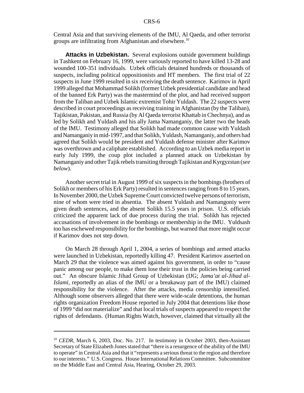Central Asia and that surviving elements of the IMU, Al Qaeda, and other terrorist groups are infiltrating from Afghanistan and elsewhere.<sup>10</sup>

**Attacks in Uzbekistan.** Several explosions outside government buildings in Tashkent on February 16, 1999, were variously reported to have killed 13-28 and wounded 100-351 individuals. Uzbek officials detained hundreds or thousands of suspects, including political oppositionists and HT members. The first trial of 22 suspects in June 1999 resulted in six receiving the death sentence. Karimov in April 1999 alleged that Mohammad Solikh (former Uzbek presidential candidate and head of the banned Erk Party) was the mastermind of the plot, and had received support from the Taliban and Uzbek Islamic extremist Tohir Yuldash. The 22 suspects were described in court proceedings as receiving training in Afghanistan (by the Taliban), Tajikistan, Pakistan, and Russia (by Al Qaeda terrorist Khattab in Chechnya), and as led by Solikh and Yuldash and his ally Jama Namanganiy, the latter two the heads of the IMU. Testimony alleged that Solikh had made common cause with Yuldash and Namanganiy in mid-1997, and that Solikh, Yuldash, Namanganiy, and others had agreed that Solikh would be president and Yuldash defense minister after Karimov was overthrown and a caliphate established. According to an Uzbek media report in early July 1999, the coup plot included a planned attack on Uzbekistan by Namanganiy and other Tajik rebels transiting through Tajikistan and Kyrgyzstan (*see below*).

Another secret trial in August 1999 of six suspects in the bombings (brothers of Solikh or members of his Erk Party) resulted in sentences ranging from 8 to 15 years. In November 2000, the Uzbek Supreme Court convicted twelve persons of terrorism, nine of whom were tried in absentia. The absent Yuldash and Namangoniy were given death sentences, and the absent Solikh 15.5 years in prison. U.S. officials criticized the apparent lack of due process during the trial. Solikh has rejected accusations of involvement in the bombings or membership in the IMU. Yuldsash too has eschewed responsibility for the bombings, but warned that more might occur if Karimov does not step down.

On March 28 through April 1, 2004, a series of bombings and armed attacks were launched in Uzbekistan, reportedly killing 47. President Karimov asserted on March 29 that the violence was aimed against his government, in order to "cause panic among our people, to make them lose their trust in the policies being carried out." An obscure Islamic Jihad Group of Uzbekistan (IJG; *Jama'at al-Jihad al-Islami*, reportedly an alias of the IMU or a breakaway part of the IMU) claimed responsibility for the violence. After the attacks, media censorship intensified. Although some observers alleged that there were wide-scale detentions, the human rights organization Freedom House reported in July 2004 that detentions like those of 1999 "did not materialize" and that local trials of suspects appeared to respect the rights of defendants. (Human Rights Watch, however, claimed that virtually all the

<sup>&</sup>lt;sup>10</sup> *CEDR*, March 6, 2003, Doc. No. 217. In testimony in October 2003, then-Assistant Secretary of State Elizabeth Jones stated that "there is a resurgence of the ability of the IMU to operate" in Central Asia and that it "represents a serious threat to the region and therefore to our interests." U.S. Congress. House International Relations Committee. Subcommittee on the Middle East and Central Asia, Hearing, October 29, 2003.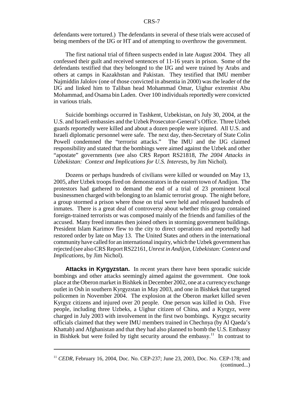defendants were tortured.) The defendants in several of these trials were accused of being members of the IJG or HT and of attempting to overthrow the government.

The first national trial of fifteen suspects ended in late August 2004. They all confessed their guilt and received sentences of 11-16 years in prison. Some of the defendants testified that they belonged to the IJG and were trained by Arabs and others at camps in Kazakhstan and Pakistan. They testified that IMU member Najmiddin Jalolov (one of those convicted in absentia in 2000) was the leader of the IJG and linked him to Taliban head Mohammad Omar, Uighur extremist Abu Mohammad, and Osama bin Laden. Over 100 individuals reportedly were convicted in various trials.

Suicide bombings occurred in Tashkent, Uzbekistan, on July 30, 2004, at the U.S. and Israeli embassies and the Uzbek Prosecutor-General's Office. Three Uzbek guards reportedly were killed and about a dozen people were injured. All U.S. and Israeli diplomatic personnel were safe. The next day, then-Secretary of State Colin Powell condemned the "terrorist attacks." The IMU and the IJG claimed responsibility and stated that the bombings were aimed against the Uzbek and other "apostate" governments (see also CRS Report RS21818, *The 2004 Attacks in Uzbekistan: Context and Implications for U.S. Interests*, by Jim Nichol).

Dozens or perhaps hundreds of civilians were killed or wounded on May 13, 2005, after Uzbek troops fired on demonstrators in the eastern town of Andijon. The protestors had gathered to demand the end of a trial of 23 prominent local businessmen charged with belonging to an Islamic terrorist group. The night before, a group stormed a prison where those on trial were held and released hundreds of inmates. There is a great deal of controversy about whether this group contained foreign-trained terrorists or was composed mainly of the friends and families of the accused. Many freed inmates then joined others in storming government buildings. President Islam Karimov flew to the city to direct operations and reportedly had restored order by late on May 13. The United States and others in the international community have called for an international inquiry, which the Uzbek government has rejected (see also CRS Report RS22161, *Unrest in Andijon, Uzbekistan: Context and Implications*, by Jim Nichol).

**Attacks in Kyrgyzstan.** In recent years there have been sporadic suicide bombings and other attacks seemingly aimed against the government. One took place at the Oberon market in Bishkek in December 2002, one at a currency exchange outlet in Osh in southern Kyrgyzstan in May 2003, and one in Bishkek that targeted policemen in November 2004. The explosion at the Oberon market killed seven Kyrgyz citizens and injured over 20 people. One person was killed in Osh. Five people, including three Uzbeks, a Uighur citizen of China, and a Kyrgyz, were charged in July 2003 with involvement in the first two bombings. Kyrgyz security officials claimed that they were IMU members trained in Chechnya (by Al Qaeda's Khattab) and Afghanistan and that they had also planned to bomb the U.S. Embassy in Bishkek but were foiled by tight security around the embassy.<sup>11</sup> In contrast to

<sup>11</sup> *CEDR*, February 16, 2004, Doc. No. CEP-237; June 23, 2003, Doc. No. CEP-178; and (continued...)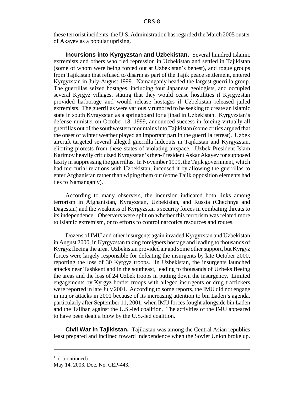these terrorist incidents, the U.S. Administration has regarded the March 2005 ouster of Akayev as a popular uprising.

**Incursions into Kyrgyzstan and Uzbekistan.** Several hundred Islamic extremists and others who fled repression in Uzbekistan and settled in Tajikistan (some of whom were being forced out at Uzbekistan's behest), and rogue groups from Tajikistan that refused to disarm as part of the Tajik peace settlement, entered Kyrgyzstan in July-August 1999. Namanganiy headed the largest guerrilla group. The guerrillas seized hostages, including four Japanese geologists, and occupied several Kyrgyz villages, stating that they would cease hostilities if Kyrgyzstan provided harborage and would release hostages if Uzbekistan released jailed extremists. The guerrillas were variously rumored to be seeking to create an Islamic state in south Kyrgyzstan as a springboard for a jihad in Uzbekistan. Kyrgyzstan's defense minister on October 18, 1999, announced success in forcing virtually all guerrillas out of the southwestern mountains into Tajikistan (some critics argued that the onset of winter weather played an important part in the guerrilla retreat). Uzbek aircraft targeted several alleged guerrilla hideouts in Tajikistan and Kyrgyzstan, eliciting protests from these states of violating airspace. Uzbek President Islam Karimov heavily criticized Kyrgyzstan's then-President Askar Akayev for supposed laxity in suppressing the guerrillas. In November 1999, the Tajik government, which had mercurial relations with Uzbekistan, incensed it by allowing the guerrillas to enter Afghanistan rather than wiping them out (some Tajik opposition elements had ties to Namanganiy).

According to many observers, the incursion indicated both links among terrorism in Afghanistan, Kyrgyzstan, Uzbekistan, and Russia (Chechnya and Dagestan) and the weakness of Kyrgyzstan's security forces in combating threats to its independence. Observers were split on whether this terrorism was related more to Islamic extremism, or to efforts to control narcotics resources and routes.

Dozens of IMU and other insurgents again invaded Kyrgyzstan and Uzbekistan in August 2000, in Kyrgyzstan taking foreigners hostage and leading to thousands of Kyrgyz fleeing the area. Uzbekistan provided air and some other support, but Kyrgyz forces were largely responsible for defeating the insurgents by late October 2000, reporting the loss of 30 Kyrgyz troops. In Uzbekistan, the insurgents launched attacks near Tashkent and in the southeast, leading to thousands of Uzbeks fleeing the areas and the loss of 24 Uzbek troops in putting down the insurgency. Limited engagements by Kyrgyz border troops with alleged insurgents or drug traffickers were reported in late July 2001. According to some reports, the IMU did not engage in major attacks in 2001 because of its increasing attention to bin Laden's agenda, particularly after September 11, 2001, when IMU forces fought alongside bin Laden and the Taliban against the U.S.-led coalition. The activities of the IMU appeared to have been dealt a blow by the U.S.-led coalition.

**Civil War in Tajikistan.** Tajikistan was among the Central Asian republics least prepared and inclined toward independence when the Soviet Union broke up.

 $11$  (...continued)

May 14, 2003, Doc. No. CEP-443.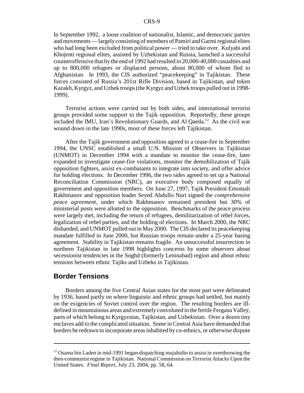In September 1992, a loose coalition of nationalist, Islamic, and democratic parties and movements — largely consisting of members of Pamiri and Garmi regional elites who had long been excluded from political power — tried to take over. Kulyabi and Khojenti regional elites, assisted by Uzbekistan and Russia, launched a successful counteroffensive that by the end of 1992 had resulted in 20,000-40,000 casualties and up to 800,000 refugees or displaced persons, about 80,000 of whom fled to Afghanistan. In 1993, the CIS authorized "peacekeeping" in Tajikistan. These forces consisted of Russia's 201st Rifle Division, based in Tajikistan, and token Kazakh, Kyrgyz, and Uzbek troops (the Kyrgyz and Uzbek troops pulled out in 1998- 1999).

Terrorist actions were carried out by both sides, and international terrorist groups provided some support to the Tajik opposition. Reportedly, these groups included the IMU, Iran's Revolutionary Guards, and Al Qaeda.12 As the civil war wound down in the late 1990s, most of these forces left Tajikistan.

After the Tajik government and opposition agreed to a cease-fire in September 1994, the UNSC established a small U.N. Mission of Observers in Tajikistan (UNMOT) in December 1994 with a mandate to monitor the cease-fire, later expanded to investigate cease-fire violations, monitor the demobilization of Tajik opposition fighters, assist ex-combatants to integrate into society, and offer advice for holding elections. In December 1996, the two sides agreed to set up a National Reconciliation Commission (NRC), an executive body composed equally of government and opposition members. On June 27, 1997, Tajik President Emomali Rakhmanov and opposition leader Seyed Abdullo Nuri signed the *comprehensive peace agreement*, under which Rakhmanov remained president but 30% of ministerial posts were allotted to the opposition. Benchmarks of the peace process were largely met, including the return of refugees, demilitarization of rebel forces, legalization of rebel parties, and the holding of elections. In March 2000, the NRC disbanded, and UNMOT pulled out in May 2000. The CIS declared its peacekeeping mandate fulfilled in June 2000, but Russian troops remain under a 25-year basing agreement. Stability in Tajikistan remains fragile. An unsuccessful insurrection in northern Tajikistan in late 1998 highlights concerns by some observers about secessionist tendencies in the Soghd (formerly Leninabad) region and about ethnic tensions between ethnic Tajiks and Uzbeks in Tajikistan.

## **Border Tensions**

Borders among the five Central Asian states for the most part were delineated by 1936, based partly on where linguistic and ethnic groups had settled, but mainly on the exigencies of Soviet control over the region. The resulting borders are illdefined in mountainous areas and extremely convoluted in the fertile Fergana Valley, parts of which belong to Kyrgyzstan, Tajikistan, and Uzbekistan. Over a dozen tiny enclaves add to the complicated situation. Some in Central Asia have demanded that borders be redrawn to incorporate areas inhabited by co-ethnics, or otherwise dispute

 $12$  Osama bin Laden in mid-1991 began dispatching mujahidin to assist in overthrowing the then-communist regime in Tajikistan. National Commission on Terrorist Attacks Upon the United States. *Final Report*, July 23, 2004, pp. 58, 64.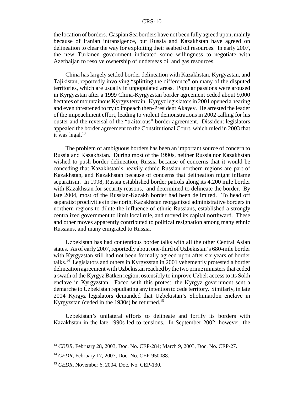the location of borders. Caspian Sea borders have not been fully agreed upon, mainly because of Iranian intransigence, but Russia and Kazakhstan have agreed on delineation to clear the way for exploiting their seabed oil resources. In early 2007, the new Turkmen government indicated some willingness to negotiate with Azerbaijan to resolve ownership of underseas oil and gas resources.

China has largely settled border delineation with Kazakhstan, Kyrgyzstan, and Tajikistan, reportedly involving "splitting the difference" on many of the disputed territories, which are usually in unpopulated areas. Popular passions were aroused in Kyrgyzstan after a 1999 China-Kyrgyzstan border agreement ceded about 9,000 hectares of mountainous Kyrgyz terrain. Kyrgyz legislators in 2001 opened a hearing and even threatened to try to impeach then-President Akayev. He arrested the leader of the impeachment effort, leading to violent demonstrations in 2002 calling for his ouster and the reversal of the "traitorous" border agreement. Dissident legislators appealed the border agreement to the Constitutional Court, which ruled in 2003 that it was legal. $13$ 

The problem of ambiguous borders has been an important source of concern to Russia and Kazakhstan. During most of the 1990s, neither Russia nor Kazakhstan wished to push border delineation, Russia because of concerns that it would be conceding that Kazakhstan's heavily ethnic Russian northern regions are part of Kazakhstan, and Kazakhstan because of concerns that delineation might inflame separatism. In 1998, Russia established border patrols along its 4,200 mile border with Kazakhstan for security reasons, and determined to delineate the border. By late 2004, most of the Russian-Kazakh border had been delimited. To head off separatist proclivities in the north, Kazakhstan reorganized administrative borders in northern regions to dilute the influence of ethnic Russians, established a strongly centralized government to limit local rule, and moved its capital northward. These and other moves apparently contributed to political resignation among many ethnic Russians, and many emigrated to Russia.

Uzbekistan has had contentious border talks with all the other Central Asian states. As of early 2007, reportedly about one-third of Uzbekistan's 680-mile border with Kyrgyzstan still had not been formally agreed upon after six years of border talks.14 Legislators and others in Kyrgyzstan in 2001 vehemently protested a border delineation agreement with Uzbekistan reached by the two prime ministers that ceded a swath of the Kyrgyz Batken region, ostensibly to improve Uzbek access to its Sokh enclave in Kyrgyzstan. Faced with this protest, the Kyrgyz government sent a demarche to Uzbekistan repudiating any intention to cede territory. Similarly, in late 2004 Kyrgyz legislators demanded that Uzbekistan's Shohimardon enclave in Kyrgyzstan (ceded in the 1930s) be returned.<sup>15</sup>

Uzbekistan's unilateral efforts to delineate and fortify its borders with Kazakhstan in the late 1990s led to tensions. In September 2002, however, the

<sup>13</sup> *CEDR*, February 28, 2003, Doc. No. CEP-284; March 9, 2003, Doc. No. CEP-27.

<sup>&</sup>lt;sup>14</sup> *CEDR*, February 17, 2007, Doc. No. CEP-950088.

<sup>15</sup> *CEDR*, November 6, 2004, Doc. No. CEP-130.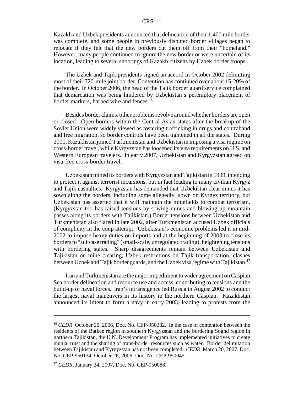Kazakh and Uzbek presidents announced that delineation of their 1,400 mile border was complete, and some people in previously disputed border villages began to relocate if they felt that the new borders cut them off from their "homeland." However, many people continued to ignore the new border or were uncertain of its location, leading to several shootings of Kazakh citizens by Uzbek border troops.

The Uzbek and Tajik presidents signed an accord in October 2002 delimiting most of their 720-mile joint border. Contention has continued over about 15-20% of the border. In October 2006, the head of the Tajik border guard service complained that demarcation was being hindered by Uzbekistan's peremptory placement of border markers, barbed wire and fences.<sup>16</sup>

Besides border claims, other problems revolve around whether borders are open or closed. Open borders within the Central Asian states after the breakup of the Soviet Union were widely viewed as fostering trafficking in drugs and contraband and free migration, so border controls have been tightened in all the states. During 2001, Kazakhstan joined Turkmenistan and Uzbekistan in imposing a visa regime on cross-border travel, while Kyrgyzstan has loosened its visa requirements on U.S. and Western European travelers. In early 2007, Uzbekistan and Kyrgyzstan agreed on visa-free cross-border travel.

Uzbekistan mined its borders with Kyrgyzstan and Tajikistan in 1999, intending to protect it against terrorist incursions, but in fact leading to many civilian Kyrgyz and Tajik casualties. Kyrgyzstan has demanded that Uzbekistan clear mines it has sown along the borders, including some allegedly sown on Kyrgyz territory, but Uzbekistan has asserted that it will maintain the minefields to combat terrorism. (Kyrgyzstan too has raised tensions by sowing mines and blowing up mountain passes along its borders with Tajikistan.) Border tensions between Uzbekistan and Turkmenistan also flared in late 2002, after Turkmenistan accused Uzbek officials of complicity in the coup attempt. Uzbekistan's economic problems led it in mid-2002 to impose heavy duties on imports and at the beginning of 2003 to close its borders to "suitcase trading" (small-scale, unregulated trading), heightening tensions with bordering states. Sharp disagreements remain between Uzbekistan and Tajikistan on mine clearing, Uzbek restrictions on Tajik transportation, clashes between Uzbek and Tajik border guards, and the Uzbek visa regime with Tajikistan.<sup>17</sup>

Iran and Turkmenistan are the major impediment to wider agreement on Caspian Sea border delineation and resource use and access, contributing to tensions and the build-up of naval forces. Iran's intransigence led Russia in August 2002 to conduct the largest naval maneuvers in its history in the northern Caspian. Kazakhstan announced its intent to form a navy in early 2003, leading to protests from the

<sup>&</sup>lt;sup>16</sup> *CEDR*, October 20, 2006, Doc. No. CEP-950282. In the case of contention between the residents of the Batken region in southern Kyrgyzstan and the bordering Soghd region in northern Tajikistan, the U.N. Development Program has implemented initiatives to create mutual trust and the sharing of trans-border resources such as water. Border delimitation between Tajikistan and Kyrgyzstan has not been completed. *CEDR*, March 20, 2007, Doc. No. CEP-950134; October 26, 2006, Doc. No. CEP-950045.

<sup>&</sup>lt;sup>17</sup> *CEDR*, January 24, 2007, Doc. No. CEP-950088.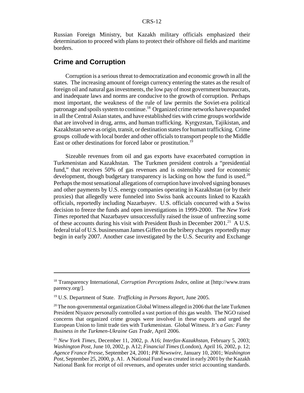Russian Foreign Ministry, but Kazakh military officials emphasized their determination to proceed with plans to protect their offshore oil fields and maritime borders.

## **Crime and Corruption**

Corruption is a serious threat to democratization and economic growth in all the states. The increasing amount of foreign currency entering the states as the result of foreign oil and natural gas investments, the low pay of most government bureaucrats, and inadequate laws and norms are conducive to the growth of corruption. Perhaps most important, the weakness of the rule of law permits the Soviet-era political patronage and spoils system to continue.18 Organized crime networks have expanded in all the Central Asian states, and have established ties with crime groups worldwide that are involved in drug, arms, and human trafficking. Kyrgyzstan, Tajikistan, and Kazakhstan serve as origin, transit, or destination states for human trafficking. Crime groups collude with local border and other officials to transport people to the Middle East or other destinations for forced labor or prostitution.<sup>19</sup>

Sizeable revenues from oil and gas exports have exacerbated corruption in Turkmenistan and Kazakhstan. The Turkmen president controls a "presidential fund," that receives 50% of gas revenues and is ostensibly used for economic development, though budgetary transparency is lacking on how the fund is used.<sup>20</sup> Perhaps the most sensational allegations of corruption have involved signing bonuses and other payments by U.S. energy companies operating in Kazakhstan (or by their proxies) that allegedly were funneled into Swiss bank accounts linked to Kazakh officials, reportedly including Nazarbayev. U.S. officials concurred with a Swiss decision to freeze the funds and open investigations in 1999-2000. The *New York Times* reported that Nazarbayev unsuccessfully raised the issue of unfreezing some of these accounts during his visit with President Bush in December 2001.<sup>21</sup> A U.S. federal trial of U.S. businessman James Giffen on the bribery charges reportedly may begin in early 2007. Another case investigated by the U.S. Security and Exchange

<sup>18</sup> Transparency International, *Corruption Perceptions Index*, online at [http://www.trans parency.org/].

<sup>19</sup> U.S. Department of State. *Trafficking in Persons Report*, June 2005.

<sup>&</sup>lt;sup>20</sup> The non-governmental organization Global Witness alleged in 2006 that the late Turkmen President Niyazov personally controlled a vast portion of this gas wealth. The NGO raised concerns that organized crime groups were involved in these exports and urged the European Union to limit trade ties with Turkmenistan. Global Witness. *It's a Gas: Funny Business in the Turkmen-Ukraine Gas Trade*, April 2006.

<sup>21</sup> *New York Times,* December 11, 2002, p. A16; *Interfax-Kazakhstan*, February 5, 2003; *Washington Post*, June 10, 2002, p. A12; *Financial Times* (London), April 16, 2002, p. 12; *Agence France Presse,* September 24, 2001; *PR Newswire*, January 10, 2001; *Washington Post*, September 25, 2000, p. A1. A National Fund was created in early 2001 by the Kazakh National Bank for receipt of oil revenues, and operates under strict accounting standards.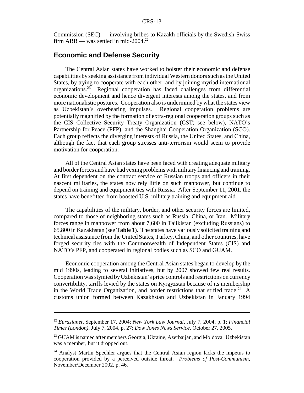Commission (SEC) — involving bribes to Kazakh officials by the Swedish-Swiss firm ABB — was settled in mid-2004.<sup>22</sup>

## **Economic and Defense Security**

The Central Asian states have worked to bolster their economic and defense capabilities by seeking assistance from individual Western donors such as the United States, by trying to cooperate with each other, and by joining myriad international organizations.23 Regional cooperation has faced challenges from differential economic development and hence divergent interests among the states, and from more nationalistic postures. Cooperation also is undermined by what the states view as Uzbekistan's overbearing impulses. Regional cooperation problems are potentially magnified by the formation of extra-regional cooperation groups such as the CIS Collective Security Treaty Organization (CST; see below), NATO's Partnership for Peace (PFP), and the Shanghai Cooperation Organization (SCO). Each group reflects the diverging interests of Russia, the United States, and China, although the fact that each group stresses anti-terrorism would seem to provide motivation for cooperation.

All of the Central Asian states have been faced with creating adequate military and border forces and have had vexing problems with military financing and training. At first dependent on the contract service of Russian troops and officers in their nascent militaries, the states now rely little on such manpower, but continue to depend on training and equipment ties with Russia. After September 11, 2001, the states have benefitted from boosted U.S. military training and equipment aid.

The capabilities of the military, border, and other security forces are limited, compared to those of neighboring states such as Russia, China, or Iran. Military forces range in manpower from about 7,600 in Tajikistan (excluding Russians) to 65,800 in Kazakhstan (see **Table 1**). The states have variously solicited training and technical assistance from the United States, Turkey, China, and other countries, have forged security ties with the Commonwealth of Independent States (CIS) and NATO's PFP, and cooperated in regional bodies such as SCO and GUAM.

Economic cooperation among the Central Asian states began to develop by the mid 1990s, leading to several initiatives, but by 2007 showed few real results. Cooperation was stymied by Uzbekistan's price controls and restrictions on currency convertibility, tariffs levied by the states on Kyrgyzstan because of its membership in the World Trade Organization, and border restrictions that stifled trade.<sup>24</sup> A customs union formed between Kazakhstan and Uzbekistan in January 1994

<sup>22</sup> *Eurasianet,* September 17, 2004; *New York Law Journal*, July 7, 2004, p. 1; *Financial Times (London)*, July 7, 2004, p. 27; *Dow Jones News Service*, October 27, 2005.

<sup>&</sup>lt;sup>23</sup> GUAM is named after members Georgia, Ukraine, Azerbaijan, and Moldova. Uzbekistan was a member, but it dropped out.

<sup>&</sup>lt;sup>24</sup> Analyst Martin Spechler argues that the Central Asian region lacks the impetus to cooperation provided by a perceived outside threat. *Problems of Post-Communism*, November/December 2002, p. 46.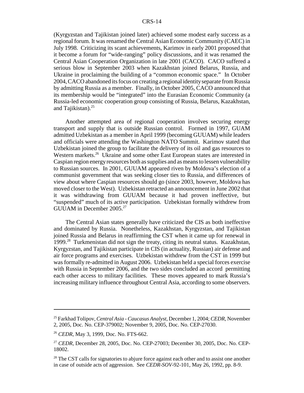(Kyrgyzstan and Tajikistan joined later) achieved some modest early success as a regional forum. It was renamed the Central Asian Economic Community (CAEC) in July 1998. Criticizing its scant achievements, Karimov in early 2001 proposed that it become a forum for "wide-ranging" policy discussions, and it was renamed the Central Asian Cooperation Organization in late 2001 (CACO). CACO suffered a serious blow in September 2003 when Kazakhstan joined Belarus, Russia, and Ukraine in proclaiming the building of a "common economic space." In October 2004, CACO abandoned its focus on creating a regional identity separate from Russia by admitting Russia as a member. Finally, in October 2005, CACO announced that its membership would be "integrated" into the Eurasian Economic Community (a Russia-led economic cooperation group consisting of Russia, Belarus, Kazakhstan, and Tajikistan). $25$ 

Another attempted area of regional cooperation involves securing energy transport and supply that is outside Russian control. Formed in 1997, GUAM admitted Uzbekistan as a member in April 1999 (becoming GUUAM) while leaders and officials were attending the Washington NATO Summit. Karimov stated that Uzbekistan joined the group to facilitate the delivery of its oil and gas resources to Western markets.<sup>26</sup> Ukraine and some other East European states are interested in Caspian region energy resources both as supplies and as means to lessen vulnerability to Russian sources. In 2001, GUUAM appeared riven by Moldova's election of a communist government that was seeking closer ties to Russia, and differences of view about where Caspian resources should go (since 2003, however, Moldova has moved closer to the West). Uzbekistan retracted an announcement in June 2002 that it was withdrawing from GUUAM because it had proven ineffective, but "suspended" much of its active participation. Uzbekistan formally withdrew from GUUAM in December 2005.<sup>27</sup>

The Central Asian states generally have criticized the CIS as both ineffective and dominated by Russia. Nonetheless, Kazakhstan, Kyrgyzstan, and Tajikistan joined Russia and Belarus in reaffirming the CST when it came up for renewal in 1999.28 Turkmenistan did not sign the treaty, citing its neutral status. Kazakhstan, Kyrgyzstan, and Tajikistan participate in CIS (in actuality, Russian) air defense and air force programs and exercises. Uzbekistan withdrew from the CST in 1999 but was formally re-admitted in August 2006. Uzbekistan held a special forces exercise with Russia in September 2006, and the two sides concluded an accord permitting each other access to military facilities. These moves appeared to mark Russia's increasing military influence throughout Central Asia, according to some observers.

<sup>25</sup> Farkhad Tolipov, *Central Asia - Caucasus Analyst*, December 1, 2004; *CEDR*, November 2, 2005, Doc. No. CEP-379002; November 9, 2005, Doc. No. CEP-27030.

<sup>26</sup> *CEDR*, May 3, 1999, Doc. No. FTS-662.

<sup>27</sup> *CEDR*, December 28, 2005, Doc. No. CEP-27003; December 30, 2005, Doc. No. CEP-18002.

 $28$  The CST calls for signatories to abjure force against each other and to assist one another in case of outside acts of aggression. See *CEDR*-*SOV*-92-101, May 26, 1992, pp. 8-9.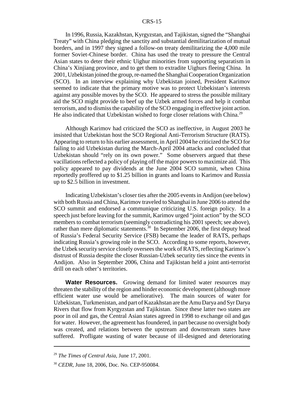In 1996, Russia, Kazakhstan, Kyrgyzstan, and Tajikistan, signed the "Shanghai Treaty" with China pledging the sanctity and substantial demilitarization of mutual borders, and in 1997 they signed a follow-on treaty demilitarizing the 4,000 mile former Soviet-Chinese border. China has used the treaty to pressure the Central Asian states to deter their ethnic Uighur minorities from supporting separatism in China's Xinjiang province, and to get them to extradite Uighurs fleeing China. In 2001, Uzbekistan joined the group, re-named the Shanghai Cooperation Organization (SCO). In an interview explaining why Uzbekistan joined, President Karimov seemed to indicate that the primary motive was to protect Uzbekistan's interests against any possible moves by the SCO. He appeared to stress the possible military aid the SCO might provide to beef up the Uzbek armed forces and help it combat terrorism, and to dismiss the capability of the SCO engaging in effective joint action. He also indicated that Uzbekistan wished to forge closer relations with China.<sup>29</sup>

Although Karimov had criticized the SCO as ineffective, in August 2003 he insisted that Uzbekistan host the SCO Regional Anti-Terrorism Structure (RATS). Appearing to return to his earlier assessment, in April 2004 he criticized the SCO for failing to aid Uzbekistan during the March-April 2004 attacks and concluded that Uzbekistan should "rely on its own power." Some observers argued that these vacillations reflected a policy of playing off the major powers to maximize aid. This policy appeared to pay dividends at the June 2004 SCO summit, when China reportedly proffered up to \$1.25 billion in grants and loans to Karimov and Russia up to \$2.5 billion in investment.

Indicating Uzbekistan's closer ties after the 2005 events in Andijon (see below) with both Russia and China, Karimov traveled to Shanghai in June 2006 to attend the SCO summit and endorsed a communique criticizing U.S. foreign policy. In a speech just before leaving for the summit, Karimov urged "joint action" by the SCO members to combat terrorism (seemingly contradicting his 2001 speech; see above), rather than mere diplomatic statements.<sup>30</sup> In September 2006, the first deputy head of Russia's Federal Security Service (FSB) became the leader of RATS, perhaps indicating Russia's growing role in the SCO. According to some reports, however, the Uzbek security service closely oversees the work of RATS, reflecting Karimov's distrust of Russia despite the closer Russian-Uzbek security ties since the events in Andijon. Also in September 2006, China and Tajikistan held a joint anti-terrorist drill on each other's territories.

**Water Resources.** Growing demand for limited water resources may threaten the stability of the region and hinder economic development (although more efficient water use would be ameliorative). The main sources of water for Uzbekistan, Turkmenistan, and part of Kazakhstan are the Amu Darya and Syr Darya Rivers that flow from Kyrgyzstan and Tajikistan. Since these latter two states are poor in oil and gas, the Central Asian states agreed in 1998 to exchange oil and gas for water. However, the agreement has foundered, in part because no oversight body was created, and relations between the upstream and downstream states have suffered. Profligate wasting of water because of ill-designed and deteriorating

<sup>29</sup> *The Times of Central Asia*, June 17, 2001.

<sup>30</sup> *CEDR*, June 18, 2006, Doc. No. CEP-950084.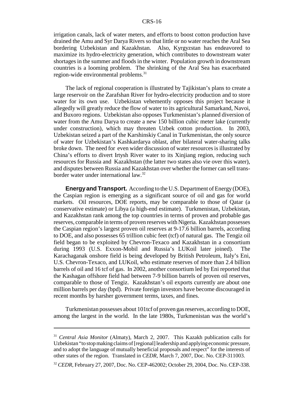irrigation canals, lack of water meters, and efforts to boost cotton production have drained the Amu and Syr Darya Rivers so that little or no water reaches the Aral Sea bordering Uzbekistan and Kazakhstan. Also, Kyrgyzstan has endeavored to maximize its hydro-electricity generation, which contributes to downstream water shortages in the summer and floods in the winter. Population growth in downstream countries is a looming problem. The shrinking of the Aral Sea has exacerbated region-wide environmental problems.<sup>31</sup>

The lack of regional cooperation is illustrated by Tajikistan's plans to create a large reservoir on the Zarafshan River for hydro-electricity production and to store water for its own use. Uzbekistan vehemently opposes this project because it allegedly will greatly reduce the flow of water to its agricultural Samarkand, Navoi, and Buxoro regions. Uzbekistan also opposes Turkmenistan's planned diversion of water from the Amu Darya to create a new 150 billion cubic meter lake (currently under construction), which may threaten Uzbek cotton production. In 2003, Uzbekistan seized a part of the Karshinskiy Canal in Turkmenistan, the only source of water for Uzbekistan's Kashkardarya oblast, after bilateral water-sharing talks broke down. The need for even wider discussion of water resources is illustrated by China's efforts to divert Irtysh River water to its Xinjiang region, reducing such resources for Russia and Kazakhstan (the latter two states also vie over this water), and disputes between Russia and Kazakhstan over whether the former can sell transborder water under international law.32

**Energy and Transport.** According to the U.S. Department of Energy (DOE), the Caspian region is emerging as a significant source of oil and gas for world markets. Oil resources, DOE reports, may be comparable to those of Qatar (a conservative estimate) or Libya (a high-end estimate). Turkmenistan, Uzbekistan, and Kazakhstan rank among the top countries in terms of proven and probable gas reserves, comparable in terms of proven reserves with Nigeria. Kazakhstan possesses the Caspian region's largest proven oil reserves at 9-17.6 billion barrels, according to DOE, and also possesses 65 trillion cubic feet (tcf) of natural gas. The Tengiz oil field began to be exploited by Chevron-Texaco and Kazakhstan in a consortium during 1993 (U.S. Exxon-Mobil and Russia's LUKoil later joined). The Karachaganak onshore field is being developed by British Petroleum, Italy's Eni, U.S. Chevron-Texaco, and LUKoil, who estimate reserves of more than 2.4 billion barrels of oil and 16 tcf of gas. In 2002, another consortium led by Eni reported that the Kashagan offshore field had between 7-9 billion barrels of proven oil reserves, comparable to those of Tengiz. Kazakhstan's oil exports currently are about one million barrels per day (bpd). Private foreign investors have become discouraged in recent months by harsher government terms, taxes, and fines.

Turkmenistan possesses about 101tcf of proven gas reserves, according to DOE, among the largest in the world. In the late 1980s, Turkmenistan was the world's

<sup>31</sup> *Central Asia Monitor* (Almaty), March 2, 2007. This Kazakh publication calls for Uzbekistan "to stop making claims of [regional] leadership and applying economic pressure, and to adopt the language of mutually beneficial proposals and respect" for the interests of other states of the region. Translated in *CEDR*, March 7, 2007, Doc. No. CEP-311003.

<sup>32</sup> *CEDR*, February 27, 2007, Doc. No. CEP-462002; October 29, 2004, Doc. No. CEP-338.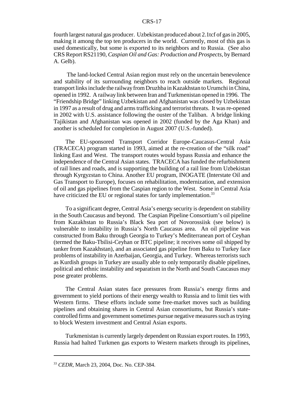fourth largest natural gas producer. Uzbekistan produced about 2.1tcf of gas in 2005, making it among the top ten producers in the world. Currently, most of this gas is used domestically, but some is exported to its neighbors and to Russia. (See also CRS Report RS21190, *Caspian Oil and Gas: Production and Prospects*, by Bernard A. Gelb).

 The land-locked Central Asian region must rely on the uncertain benevolence and stability of its surrounding neighbors to reach outside markets. Regional transport links include the railway from Druzhba in Kazakhstan to Urumchi in China, opened in 1992. A railway link between Iran and Turkmenistan opened in 1996. The "Friendship Bridge" linking Uzbekistan and Afghanistan was closed by Uzbekistan in 1997 as a result of drug and arms trafficking and terrorist threats. It was re-opened in 2002 with U.S. assistance following the ouster of the Taliban. A bridge linking Tajikistan and Afghanistan was opened in 2002 (funded by the Aga Khan) and another is scheduled for completion in August 2007 (U.S.-funded).

The EU-sponsored Transport Corridor Europe-Caucasus-Central Asia (TRACECA) program started in 1993, aimed at the re-creation of the "silk road" linking East and West. The transport routes would bypass Russia and enhance the independence of the Central Asian states. TRACECA has funded the refurbishment of rail lines and roads, and is supporting the building of a rail line from Uzbekistan through Kyrgyzstan to China. Another EU program, INOGATE (Interstate Oil and Gas Transport to Europe), focuses on rehabilitation, modernization, and extension of oil and gas pipelines from the Caspian region to the West. Some in Central Asia have criticized the EU or regional states for tardy implementation.<sup>33</sup>

To a significant degree, Central Asia's energy security is dependent on stability in the South Caucasus and beyond. The Caspian Pipeline Consortium's oil pipeline from Kazakhstan to Russia's Black Sea port of Novorossiisk (see below) is vulnerable to instability in Russia's North Caucasus area. An oil pipeline was constructed from Baku through Georgia to Turkey's Mediterranean port of Ceyhan (termed the Baku-Tbilisi-Ceyhan or BTC pipeline; it receives some oil shipped by tanker from Kazakhstan), and an associated gas pipeline from Baku to Turkey face problems of instability in Azerbaijan, Georgia, and Turkey. Whereas terrorists such as Kurdish groups in Turkey are usually able to only temporarily disable pipelines, political and ethnic instability and separatism in the North and South Caucasus may pose greater problems.

The Central Asian states face pressures from Russia's energy firms and government to yield portions of their energy wealth to Russia and to limit ties with Western firms. These efforts include some free-market moves such as building pipelines and obtaining shares in Central Asian consortiums, but Russia's statecontrolled firms and government sometimes pursue negative measures such as trying to block Western investment and Central Asian exports.

Turkmenistan is currently largely dependent on Russian export routes. In 1993, Russia had halted Turkmen gas exports to Western markets through its pipelines,

<sup>33</sup> *CEDR*, March 23, 2004, Doc. No. CEP-384.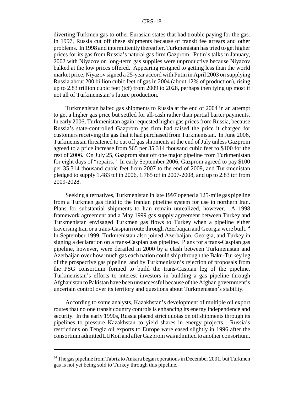diverting Turkmen gas to other Eurasian states that had trouble paying for the gas. In 1997, Russia cut off these shipments because of transit fee arrears and other problems. In 1998 and intermittently thereafter, Turkmenistan has tried to get higher prices for its gas from Russia's natural gas firm Gazprom. Putin's talks in January, 2002 with Niyazov on long-term gas supplies were unproductive because Niyazov balked at the low prices offered. Appearing resigned to getting less than the world market price, Niyazov signed a 25-year accord with Putin in April 2003 on supplying Russia about 200 billion cubic feet of gas in 2004 (about 12% of production), rising up to 2.83 trillion cubic feet (tcf) from 2009 to 2028, perhaps then tying up most if not all of Turkmenistan's future production.

Turkmenistan halted gas shipments to Russia at the end of 2004 in an attempt to get a higher gas price but settled for all-cash rather than partial barter payments. In early 2006, Turkmenistan again requested higher gas prices from Russia, because Russia's state-controlled Gazprom gas firm had raised the price it charged for customers receiving the gas that it had purchased from Turkmenistan. In June 2006, Turkmenistan threatened to cut off gas shipments at the end of July unless Gazprom agreed to a price increase from \$65 per 35.314 thousand cubic feet to \$100 for the rest of 2006. On July 25, Gazprom shut off one major pipeline from Turkmenistan for eight days of "repairs." In early September 2006, Gazprom agreed to pay \$100 per 35.314 thousand cubic feet from 2007 to the end of 2009, and Turkmenistan pledged to supply 1.483 tcf in 2006, 1.765 tcf in 2007-2008, and up to 2.83 tcf from 2009-2028.

Seeking alternatives, Turkmenistan in late 1997 opened a 125-mile gas pipeline from a Turkmen gas field to the Iranian pipeline system for use in northern Iran. Plans for substantial shipments to Iran remain unrealized, however. A 1998 framework agreement and a May 1999 gas supply agreement between Turkey and Turkmenistan envisaged Turkmen gas flows to Turkey when a pipeline either traversing Iran or a trans-Caspian route through Azerbaijan and Georgia were built.<sup>34</sup> In September 1999, Turkmenistan also joined Azerbaijan, Georgia, and Turkey in signing a declaration on a trans-Caspian gas pipeline. Plans for a trans-Caspian gas pipeline, however, were derailed in 2000 by a clash between Turkmenistan and Azerbaijan over how much gas each nation could ship through the Baku-Turkey leg of the prospective gas pipeline, and by Turkmenistan's rejection of proposals from the PSG consortium formed to build the trans-Caspian leg of the pipeline. Turkmenistan's efforts to interest investors in building a gas pipeline through Afghanistan to Pakistan have been unsuccessful because of the Afghan government's uncertain control over its territory and questions about Turkmenistan's stability.

According to some analysts, Kazakhstan's development of multiple oil export routes that no one transit country controls is enhancing its energy independence and security. In the early 1990s, Russia placed strict quotas on oil shipments through its pipelines to pressure Kazakhstan to yield shares in energy projects. Russia's restrictions on Tengiz oil exports to Europe were eased slightly in 1996 after the consortium admitted LUKoil and after Gazprom was admitted to another consortium.

<sup>&</sup>lt;sup>34</sup> The gas pipeline from Tabriz to Ankara began operations in December 2001, but Turkmen gas is not yet being sold to Turkey through this pipeline.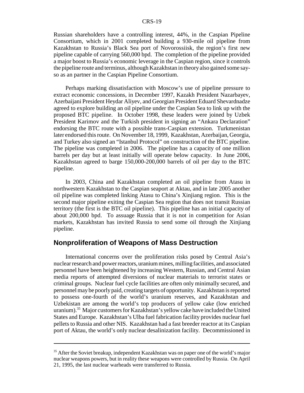Russian shareholders have a controlling interest, 44%, in the Caspian Pipeline Consortium, which in 2001 completed building a 930-mile oil pipeline from Kazakhstan to Russia's Black Sea port of Novorossiisk, the region's first new pipeline capable of carrying 560,000 bpd. The completion of the pipeline provided a major boost to Russia's economic leverage in the Caspian region, since it controls the pipeline route and terminus, although Kazakhstan in theory also gained some sayso as an partner in the Caspian Pipeline Consortium.

Perhaps marking dissatisfaction with Moscow's use of pipeline pressure to extract economic concessions, in December 1997, Kazakh President Nazarbayev, Azerbaijani President Heydar Aliyev, and Georgian President Eduard Shevardnadze agreed to explore building an oil pipeline under the Caspian Sea to link up with the proposed BTC pipeline. In October 1998, these leaders were joined by Uzbek President Karimov and the Turkish president in signing an "Ankara Declaration" endorsing the BTC route with a possible trans-Caspian extension. Turkmenistan later endorsed this route. On November 18, 1999, Kazakhstan, Azerbaijan, Georgia, and Turkey also signed an "Istanbul Protocol" on construction of the BTC pipeline. The pipeline was completed in 2006. The pipeline has a capacity of one million barrels per day but at least initially will operate below capacity. In June 2006, Kazakhstan agreed to barge 150,000-200,000 barrels of oil per day to the BTC pipeline.

In 2003, China and Kazakhstan completed an oil pipeline from Atasu in northwestern Kazakhstan to the Caspian seaport at Aktau, and in late 2005 another oil pipeline was completed linking Atasu to China's Xinjiang region. This is the second major pipeline exiting the Caspian Sea region that does not transit Russian territory (the first is the BTC oil pipeline). This pipeline has an initial capacity of about 200,000 bpd. To assuage Russia that it is not in competition for Asian markets, Kazakhstan has invited Russia to send some oil through the Xinjiang pipeline.

## **Nonproliferation of Weapons of Mass Destruction**

International concerns over the proliferation risks posed by Central Asia's nuclear research and power reactors, uranium mines, milling facilities, and associated personnel have been heightened by increasing Western, Russian, and Central Asian media reports of attempted diversions of nuclear materials to terrorist states or criminal groups. Nuclear fuel cycle facilities are often only minimally secured, and personnel may be poorly paid, creating targets of opportunity. Kazakhstan is reported to possess one-fourth of the world's uranium reserves, and Kazakhstan and Uzbekistan are among the world's top producers of yellow cake (low enriched uranium).<sup>35</sup> Major customers for Kazakhstan's yellow cake have included the United States and Europe. Kazakhstan's Ulba fuel fabrication facility provides nuclear fuel pellets to Russia and other NIS. Kazakhstan had a fast breeder reactor at its Caspian port of Aktau, the world's only nuclear desalinization facility. Decommissioned in

<sup>&</sup>lt;sup>35</sup> After the Soviet breakup, independent Kazakhstan was on paper one of the world's major nuclear weapons powers, but in reality these weapons were controlled by Russia. On April 21, 1995, the last nuclear warheads were transferred to Russia.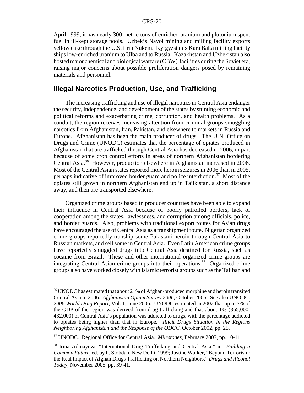April 1999, it has nearly 300 metric tons of enriched uranium and plutonium spent fuel in ill-kept storage pools. Uzbek's Navoi mining and milling facility exports yellow cake through the U.S. firm Nukem. Kyrgyzstan's Kara Balta milling facility ships low-enriched uranium to Ulba and to Russia. Kazakhstan and Uzbekistan also hosted major chemical and biological warfare (CBW) facilities during the Soviet era, raising major concerns about possible proliferation dangers posed by remaining materials and personnel.

## **Illegal Narcotics Production, Use, and Trafficking**

The increasing trafficking and use of illegal narcotics in Central Asia endanger the security, independence, and development of the states by stunting economic and political reforms and exacerbating crime, corruption, and health problems. As a conduit, the region receives increasing attention from criminal groups smuggling narcotics from Afghanistan, Iran, Pakistan, and elsewhere to markets in Russia and Europe. Afghanistan has been the main producer of drugs. The U.N. Office on Drugs and Crime (UNODC) estimates that the percentage of opiates produced in Afghanistan that are trafficked through Central Asia has decreased in 2006, in part because of some crop control efforts in areas of northern Afghanistan bordering Central Asia.36 However, production elsewhere in Afghanistan increased in 2006. Most of the Central Asian states reported more heroin seizures in 2006 than in 2005, perhaps indicative of improved border guard and police interdiction.<sup>37</sup> Most of the opiates still grown in northern Afghanistan end up in Tajikistan, a short distance away, and then are transported elsewhere.

Organized crime groups based in producer countries have been able to expand their influence in Central Asia because of poorly patrolled borders, lack of cooperation among the states, lawlessness, and corruption among officials, police, and border guards. Also, problems with traditional export routes for Asian drugs have encouraged the use of Central Asia as a transhipment route. Nigerian organized crime groups reportedly tranship some Pakistani heroin through Central Asia to Russian markets, and sell some in Central Asia. Even Latin American crime groups have reportedly smuggled drugs into Central Asia destined for Russia, such as cocaine from Brazil. These and other international organized crime groups are integrating Central Asian crime groups into their operations.<sup>38</sup> Organized crime groups also have worked closely with Islamic terrorist groups such as the Taliban and

<sup>&</sup>lt;sup>36</sup> UNODC has estimated that about 21% of Afghan-produced morphine and heroin transited Central Asia in 2006. *Afghanistan Opium Survey 2006*, October 2006. See also UNODC. *2006 World Drug Report*, Vol. 1, June 2006. UNODC estimated in 2002 that up to 7% of the GDP of the region was derived from drug trafficking and that about 1% (365,000- 432,000) of Central Asia's population was addicted to drugs, with the percentage addicted to opiates being higher than that in Europe. *Illicit Drugs Situation in the Regions Neighboring Afghanistan and the Response of the ODCC*, October 2002, pp. 25.

<sup>37</sup> UNODC. Regional Office for Central Asia. *Milestones*, February 2007, pp. 10-11.

<sup>38</sup> Irina Adinayeva, "International Drug Trafficking and Central Asia," in *Building a Common Future*, ed. by P. Stobdan, New Delhi, 1999; Justine Walker, "Beyond Terrorism: the Real Impact of Afghan Drugs Trafficking on Northern Neighbors," *Drugs and Alcohol Today*, November 2005. pp. 39-41.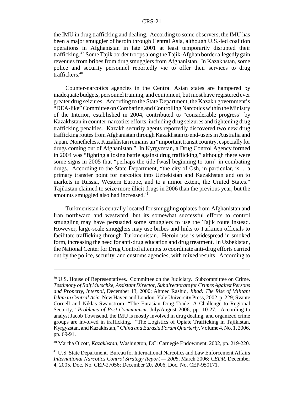the IMU in drug trafficking and dealing. According to some observers, the IMU has been a major smuggler of heroin through Central Asia, although U.S.-led coalition operations in Afghanistan in late 2001 at least temporarily disrupted their trafficking.<sup>39</sup> Some Tajik border troops along the Tajik-Afghan border allegedly gain revenues from bribes from drug smugglers from Afghanistan. In Kazakhstan, some police and security personnel reportedly vie to offer their services to drug traffickers.40

Counter-narcotics agencies in the Central Asian states are hampered by inadequate budgets, personnel training, and equipment, but most have registered ever greater drug seizures. According to the State Department, the Kazakh government's "DEA-like" Committee on Combating and Controlling Narcotics within the Ministry of the Interior, established in 2004, contributed to "considerable progress" by Kazakhstan in counter-narcotics efforts, including drug seizures and tightening drug trafficking penalties. Kazakh security agents reportedly discovered two new drug trafficking routes from Afghanistan through Kazakhstan to end-users in Australia and Japan. Nonetheless, Kazakhstan remains an "important transit country, especially for drugs coming out of Afghanistan." In Kyrgyzstan, a Drug Control Agency formed in 2004 was "fighting a losing battle against drug trafficking," although there were some signs in 2005 that "perhaps the tide [was] beginning to turn" in combating drugs. According to the State Department, "the city of Osh, in particular, is ... a primary transfer point for narcotics into Uzbekistan and Kazakhstan and on to markets in Russia, Western Europe, and to a minor extent, the United States." Tajikistan claimed to seize more illicit drugs in 2006 than the previous year, but the amounts smuggled also had increased.<sup>41</sup>

Turkmenistan is centrally located for smuggling opiates from Afghanistan and Iran northward and westward, but its somewhat successful efforts to control smuggling may have persuaded some smugglers to use the Tajik route instead. However, large-scale smugglers may use bribes and links to Turkmen officials to facilitate trafficking through Turkmenistan. Heroin use is widespread in smoked form, increasing the need for anti-drug education and drug treatment. In Uzbekistan, the National Center for Drug Control attempts to coordinate anti-drug efforts carried out by the police, security, and customs agencies, with mixed results. According to

40 Martha Olcott, *Kazakhstan*, Washington, DC: Carnegie Endowment, 2002, pp. 219-220.

<sup>39</sup> U.S. House of Representatives. Committee on the Judiciary. Subcommittee on Crime. *Testimony of Ralf Mutschke, Assistant Director, Subdirectorate for Crimes Against Persons and Property, Interpol*, December 13, 2000; Ahmed Rashid, *Jihad: The Rise of Militant Islam in Central Asia*. New Haven and London: Yale University Press, 2002, p. 229; Svante Cornell and Niklas Swanström, "The Eurasian Drug Trade: A Challenge to Regional Security," *Problems of Post-Communism*, July/August 2006, pp. 10-27. According to analyst Jacob Townsend, the IMU is mostly involved in drug dealing, and organized crime groups are involved in trafficking. "The Logistics of Opiate Trafficking in Tajikistan, Kyrgyzstan, and Kazakhstan," *China and Eurasia Forum Quarterly*, Volume 4, No. 1, 2006, pp. 69-91.

<sup>41</sup> U.S. State Department. Bureau for International Narcotics and Law Enforcement Affairs *International Narcotics Control Strategy Report — 2005*, March 2006; *CEDR*, December 4, 2005, Doc. No. CEP-27056; December 20, 2006, Doc. No. CEP-950171.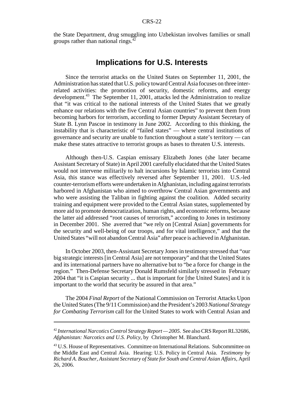the State Department, drug smuggling into Uzbekistan involves families or small groups rather than national rings.<sup>4</sup>

## **Implications for U.S. Interests**

Since the terrorist attacks on the United States on September 11, 2001, the Administration has stated that U.S. policy toward Central Asia focuses on three interrelated activities: the promotion of security, domestic reforms, and energy development.<sup>43</sup> The September 11, 2001, attacks led the Administration to realize that "it was critical to the national interests of the United States that we greatly enhance our relations with the five Central Asian countries" to prevent them from becoming harbors for terrorism, according to former Deputy Assistant Secretary of State B. Lynn Pascoe in testimony in June 2002. According to this thinking, the instability that is characteristic of "failed states" — where central institutions of governance and security are unable to function throughout a state's territory — can make these states attractive to terrorist groups as bases to threaten U.S. interests.

Although then-U.S. Caspian emissary Elizabeth Jones (she later became Assistant Secretary of State) in April 2001 carefully elucidated that the United States would not intervene militarily to halt incursions by Islamic terrorists into Central Asia, this stance was effectively reversed after September 11, 2001. U.S.-led counter-terrorism efforts were undertaken in Afghanistan, including against terrorists harbored in Afghanistan who aimed to overthrow Central Asian governments and who were assisting the Taliban in fighting against the coalition. Added security training and equipment were provided to the Central Asian states, supplemented by more aid to promote democratization, human rights, and economic reforms, because the latter aid addressed "root causes of terrorism," according to Jones in testimony in December 2001. She averred that "we rely on [Central Asian] governments for the security and well-being of our troops, and for vital intelligence," and that the United States "will not abandon Central Asia" after peace is achieved in Afghanistan.

In October 2003, then-Assistant Secretary Jones in testimony stressed that "our big strategic interests [in Central Asia] are not temporary" and that the United States and its international partners have no alternative but to "be a force for change in the region." Then-Defense Secretary Donald Rumsfeld similarly stressed in February 2004 that "it is Caspian security ... that is important for [the United States] and it is important to the world that security be assured in that area."

The 2004 *Final Report* of the National Commission on Terrorist Attacks Upon the United States (The 9/11 Commission) and the President's 2003 *National Strategy for Combating Terrorism* call for the United States to work with Central Asian and

<sup>42</sup> *International Narcotics Control Strategy Report — 2005*. See also CRS Report RL32686, *Afghanistan: Narcotics and U.S. Policy*, by Christopher M. Blanchard.

<sup>&</sup>lt;sup>43</sup> U.S. House of Representatives. Committee on International Relations. Subcommittee on the Middle East and Central Asia. Hearing: U.S. Policy in Central Asia. *Testimony by Richard A. Boucher, Assistant Secretary of State for South and Central Asian Affairs*, April 26, 2006.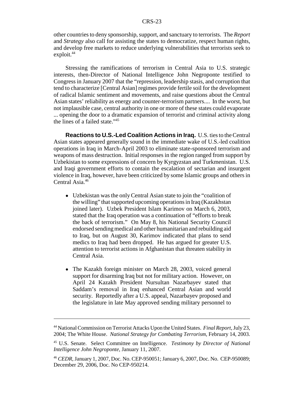other countries to deny sponsorship, support, and sanctuary to terrorists. The *Report* and *Strategy* also call for assisting the states to democratize, respect human rights, and develop free markets to reduce underlying vulnerabilities that terrorists seek to exploit.<sup>44</sup>

Stressing the ramifications of terrorism in Central Asia to U.S. strategic interests, then-Director of National Intelligence John Negroponte testified to Congress in January 2007 that the "repression, leadership stasis, and corruption that tend to characterize [Central Asian] regimes provide fertile soil for the development of radical Islamic sentiment and movements, and raise questions about the Central Asian states' reliability as energy and counter-terrorism partners.... In the worst, but not implausible case, central authority in one or more of these states could evaporate ... opening the door to a dramatic expansion of terrorist and criminal activity along the lines of a failed state."45

**Reactions to U.S.-Led Coalition Actions in Iraq.** U.S. ties to the Central Asian states appeared generally sound in the immediate wake of U.S.-led coalition operations in Iraq in March-April 2003 to eliminate state-sponsored terrorism and weapons of mass destruction. Initial responses in the region ranged from support by Uzbekistan to some expressions of concern by Kyrgyzstan and Turkmenistan. U.S. and Iraqi government efforts to contain the escalation of sectarian and insurgent violence in Iraq, however, have been criticized by some Islamic groups and others in Central Asia.<sup>46</sup>

- Uzbekistan was the only Central Asian state to join the "coalition of the willing" that supported upcoming operations in Iraq (Kazakhstan joined later). Uzbek President Islam Karimov on March 6, 2003, stated that the Iraq operation was a continuation of "efforts to break the back of terrorism." On May 8, his National Security Council endorsed sending medical and other humanitarian and rebuilding aid to Iraq, but on August 30, Karimov indicated that plans to send medics to Iraq had been dropped. He has argued for greater U.S. attention to terrorist actions in Afghanistan that threaten stability in Central Asia.
- The Kazakh foreign minister on March 28, 2003, voiced general support for disarming Iraq but not for military action. However, on April 24 Kazakh President Nursultan Nazarbayev stated that Saddam's removal in Iraq enhanced Central Asian and world security. Reportedly after a U.S. appeal, Nazarbayev proposed and the legislature in late May approved sending military personnel to

<sup>44</sup> National Commission on Terrorist Attacks Upon the United States. *Final Report*, July 23, 2004; The White House. *National Strategy for Combating Terrorism*, February 14, 2003.

<sup>45</sup> U.S. Senate. Select Committee on Intelligence. *Testimony by Director of National Intelligence John Negroponte*, January 11, 2007.

<sup>46</sup> *CEDR*, January 1, 2007, Doc. No. CEP-950051; January 6, 2007, Doc. No. CEP-950089; December 29, 2006, Doc. No CEP-950214.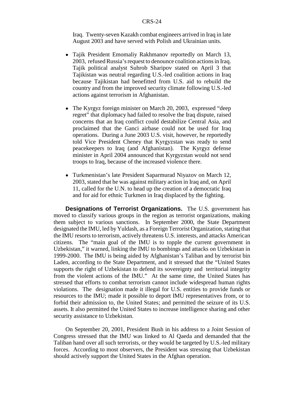Iraq. Twenty-seven Kazakh combat engineers arrived in Iraq in late August 2003 and have served with Polish and Ukrainian units.

- Tajik President Emomaliy Rakhmanov reportedly on March 13, 2003, refused Russia's request to denounce coalition actions in Iraq. Tajik political analyst Suhrob Sharipov stated on April 3 that Tajikistan was neutral regarding U.S.-led coalition actions in Iraq because Tajikistan had benefitted from U.S. aid to rebuild the country and from the improved security climate following U.S.-led actions against terrorism in Afghanistan.
- The Kyrgyz foreign minister on March 20, 2003, expressed "deep" regret" that diplomacy had failed to resolve the Iraq dispute, raised concerns that an Iraq conflict could destabilize Central Asia, and proclaimed that the Ganci airbase could not be used for Iraq operations. During a June 2003 U.S. visit, however, he reportedly told Vice President Cheney that Kyrgyzstan was ready to send peacekeepers to Iraq (and Afghanistan). The Kyrgyz defense minister in April 2004 announced that Kyrgyzstan would not send troops to Iraq, because of the increased violence there.
- Turkmenistan's late President Saparmurad Niyazov on March 12, 2003, stated that he was against military action in Iraq and, on April 11, called for the U.N. to head up the creation of a democratic Iraq and for aid for ethnic Turkmen in Iraq displaced by the fighting.

**Designations of Terrorist Organizations.** The U.S. government has moved to classify various groups in the region as terrorist organizations, making them subject to various sanctions. In September 2000, the State Department designated the IMU, led by Yuldash, as a Foreign Terrorist Organization, stating that the IMU resorts to terrorism, actively threatens U.S. interests, and attacks American citizens. The "main goal of the IMU is to topple the current government in Uzbekistan," it warned, linking the IMU to bombings and attacks on Uzbekistan in 1999-2000. The IMU is being aided by Afghanistan's Taliban and by terrorist bin Laden, according to the State Department, and it stressed that the "United States supports the right of Uzbekistan to defend its sovereignty and territorial integrity from the violent actions of the IMU." At the same time, the United States has stressed that efforts to combat terrorism cannot include widespread human rights violations. The designation made it illegal for U.S. entities to provide funds or resources to the IMU; made it possible to deport IMU representatives from, or to forbid their admission to, the United States; and permitted the seizure of its U.S. assets. It also permitted the United States to increase intelligence sharing and other security assistance to Uzbekistan.

On September 20, 2001, President Bush in his address to a Joint Session of Congress stressed that the IMU was linked to Al Qaeda and demanded that the Taliban hand over all such terrorists, or they would be targeted by U.S.-led military forces. According to most observers, the President was stressing that Uzbekistan should actively support the United States in the Afghan operation.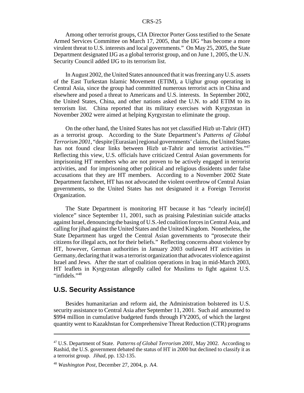Among other terrorist groups, CIA Director Porter Goss testified to the Senate Armed Services Committee on March 17, 2005, that the IJG "has become a more virulent threat to U.S. interests and local governments." On May 25, 2005, the State Department designated IJG as a global terrorist group, and on June 1, 2005, the U.N. Security Council added IJG to its terrorism list.

In August 2002, the United States announced that it was freezing any U.S. assets of the East Turkestan Islamic Movement (ETIM), a Uighur group operating in Central Asia, since the group had committed numerous terrorist acts in China and elsewhere and posed a threat to Americans and U.S. interests. In September 2002, the United States, China, and other nations asked the U.N. to add ETIM to its terrorism list. China reported that its military exercises with Kyrgyzstan in November 2002 were aimed at helping Kyrgyzstan to eliminate the group.

On the other hand, the United States has not yet classified Hizb ut-Tahrir (HT) as a terrorist group. According to the State Department's *Patterns of Global Terrorism 2001*, "despite [Eurasian] regional governments' claims, the United States has not found clear links between Hizb ut-Tahrir and terrorist activities."<sup>47</sup> Reflecting this view, U.S. officials have criticized Central Asian governments for imprisoning HT members who are not proven to be actively engaged in terrorist activities, and for imprisoning other political and religious dissidents under false accusations that they are HT members. According to a November 2002 State Department factsheet, HT has not advocated the violent overthrow of Central Asian governments, so the United States has not designated it a Foreign Terrorist Organization.

The State Department is monitoring HT because it has "clearly incite[d] violence" since September 11, 2001, such as praising Palestinian suicide attacks against Israel, denouncing the basing of U.S.-led coalition forces in Central Asia, and calling for jihad against the United States and the United Kingdom. Nonetheless, the State Department has urged the Central Asian governments to "prosecute their citizens for illegal acts, not for their beliefs." Reflecting concerns about violence by HT, however, German authorities in January 2003 outlawed HT activities in Germany, declaring that it was a terrorist organization that advocates violence against Israel and Jews. After the start of coalition operations in Iraq in mid-March 2003, HT leaflets in Kyrgyzstan allegedly called for Muslims to fight against U.S. "infidels."<sup>48</sup>

## **U.S. Security Assistance**

Besides humanitarian and reform aid, the Administration bolstered its U.S. security assistance to Central Asia after September 11, 2001. Such aid amounted to \$994 million in cumulative budgeted funds through FY2005, of which the largest quantity went to Kazakhstan for Comprehensive Threat Reduction (CTR) programs

<sup>47</sup> U.S. Department of State. *Patterns of Global Terrorism 2001*, May 2002. According to Rashid, the U.S. government debated the status of HT in 2000 but declined to classify it as a terrorist group. *Jihad*, pp. 132-135.

<sup>48</sup> *Washington Post*, December 27, 2004, p. A4.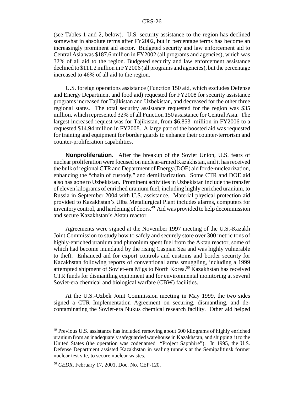(see Tables 1 and 2, below). U.S. security assistance to the region has declined somewhat in absolute terms after FY2002, but in percentage terms has become an increasingly prominent aid sector. Budgeted security and law enforcement aid to Central Asia was \$187.6 million in FY2002 (all programs and agencies), which was 32% of all aid to the region. Budgeted security and law enforcement assistance declined to \$111.2 million in FY2006 (all programs and agencies), but the percentage increased to 46% of all aid to the region.

U.S. foreign operations assistance (Function 150 aid, which excludes Defense and Energy Department and food aid) requested for FY2008 for security assistance programs increased for Tajikistan and Uzbekistan, and decreased for the other three regional states. The total security assistance requested for the region was \$35 million, which represented 32% of all Function 150 assistance for Central Asia. The largest increased request was for Tajikistan, from \$6.853 million in FY2006 to a requested \$14.94 million in FY2008. A large part of the boosted aid was requested for training and equipment for border guards to enhance their counter-terrorism and counter-proliferation capabilities.

**Nonproliferation.** After the breakup of the Soviet Union, U.S. fears of nuclear proliferation were focused on nuclear-armed Kazakhstan, and it has received the bulk of regional CTR and Department of Energy (DOE) aid for de-nuclearization, enhancing the "chain of custody," and demilitarization. Some CTR and DOE aid also has gone to Uzbekistan. Prominent activities in Uzbekistan include the transfer of eleven kilograms of enriched uranium fuel, including highly enriched uranium, to Russia in September 2004 with U.S. assistance. Material physical protection aid provided to Kazakhstan's Ulba Metallurgical Plant includes alarms, computers for inventory control, and hardening of doors.<sup>49</sup> Aid was provided to help decommission and secure Kazakhstan's Aktau reactor.

Agreements were signed at the November 1997 meeting of the U.S.-Kazakh Joint Commission to study how to safely and securely store over 300 metric tons of highly-enriched uranium and plutonium spent fuel from the Aktau reactor, some of which had become inundated by the rising Caspian Sea and was highly vulnerable to theft. Enhanced aid for export controls and customs and border security for Kazakhstan following reports of conventional arms smuggling, including a 1999 attempted shipment of Soviet-era Migs to North Korea.<sup>50</sup> Kazakhstan has received CTR funds for dismantling equipment and for environmental monitoring at several Soviet-era chemical and biological warfare (CBW) facilities.

At the U.S.-Uzbek Joint Commission meeting in May 1999, the two sides signed a CTR Implementation Agreement on securing, dismantling, and decontaminating the Soviet-era Nukus chemical research facility. Other aid helped

 $49$  Previous U.S. assistance has included removing about 600 kilograms of highly enriched uranium from an inadequately safeguarded warehouse in Kazakhstan, and shipping it to the United States (the operation was codenamed "Project Sapphire"). In 1995, the U.S. Defense Department assisted Kazakhstan in sealing tunnels at the Semipalitinsk former nuclear test site, to secure nuclear wastes.

<sup>50</sup> *CEDR,* February 17, 2001, Doc. No. CEP-120.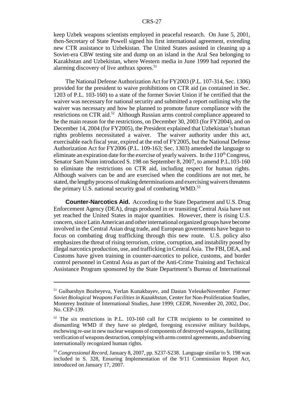keep Uzbek weapons scientists employed in peaceful research. On June 5, 2001, then-Secretary of State Powell signed his first international agreement, extending new CTR assistance to Uzbekistan. The United States assisted in cleaning up a Soviet-era CBW testing site and dump on an island in the Aral Sea belonging to Kazakhstan and Uzbekistan, where Western media in June 1999 had reported the alarming discovery of live anthrax spores.<sup>51</sup>

The National Defense Authorization Act for FY2003 (P.L. 107-314, Sec. 1306) provided for the president to waive prohibitions on CTR aid (as contained in Sec. 1203 of P.L. 103-160) to a state of the former Soviet Union if he certified that the waiver was necessary for national security and submitted a report outlining why the waiver was necessary and how he planned to promote future compliance with the restrictions on CTR aid.52 Although Russian arms control compliance appeared to be the main reason for the restrictions, on December 30, 2003 (for FY2004), and on December 14, 2004 (for FY2005), the President explained that Uzbekistan's human rights problems necessitated a waiver. The waiver authority under this act, exercisable each fiscal year, expired at the end of FY2005, but the National Defense Authorization Act for FY2006 (P.L. 109-163; Sec. 1303) amended the language to eliminate an expiration date for the exercise of yearly waivers. In the  $110<sup>th</sup> Congress$ , Senator Sam Nunn introduced S. 198 on September 8, 2007, to amend P.L.103-160 to eliminate the restrictions on CTR aid, including respect for human rights. Although waivers can be and are exercised when the conditions are not met, he stated, the lengthy process of making determinations and exercising waivers threatens the primary U.S. national security goal of combating WMD.<sup>53</sup>

**Counter-Narcotics Aid.** According to the State Department and U.S. Drug Enforcement Agency (DEA), drugs produced in or transiting Central Asia have not yet reached the United States in major quantities. However, there is rising U.S. concern, since Latin American and other international organized groups have become involved in the Central Asian drug trade, and European governments have begun to focus on combating drug trafficking through this new route. U.S. policy also emphasizes the threat of rising terrorism, crime, corruption, and instability posed by illegal narcotics production, use, and trafficking in Central Asia. The FBI, DEA, and Customs have given training in counter-narcotics to police, customs, and border control personnel in Central Asia as part of the Anti-Crime Training and Technical Assistance Program sponsored by the State Department's Bureau of International

<sup>51</sup> Gulbarshyn Bozheyeva, Yerlan Kunakbayev, and Dastan YeleukeNovember *Former Soviet Biological Weapons Facilities in Kazakhstan,* Center for Non-Proliferation Studies, Monterey Institute of International Studies, June 1999; *CEDR*, November 20, 2002, Doc. No. CEP-139.

<sup>52</sup> The six restrictions in P.L. 103-160 call for CTR recipients to be committed to dismantling WMD if they have so pledged, foregoing excessive military buildups, eschewing re-use in new nuclear weapons of components of destroyed weapons, facilitating verification of weapons destruction, complying with arms control agreements, and observing internationally recognized human rights.

<sup>53</sup> *Congressional Record*, January 8, 2007, pp. S237-S238. Language similar to S. 198 was included in S. 328, Ensuring Implementation of the 9/11 Commission Report Act, introduced on January 17, 2007.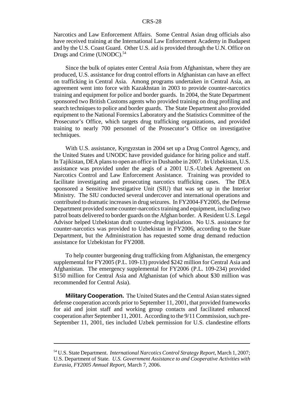Narcotics and Law Enforcement Affairs. Some Central Asian drug officials also have received training at the International Law Enforcement Academy in Budapest and by the U.S. Coast Guard. Other U.S. aid is provided through the U.N. Office on Drugs and Crime (UNODC).<sup>54</sup>

Since the bulk of opiates enter Central Asia from Afghanistan, where they are produced, U.S. assistance for drug control efforts in Afghanistan can have an effect on trafficking in Central Asia. Among programs undertaken in Central Asia, an agreement went into force with Kazakhstan in 2003 to provide counter-narcotics training and equipment for police and border guards. In 2004, the State Department sponsored two British Customs agents who provided training on drug profiling and search techniques to police and border guards. The State Department also provided equipment to the National Forensics Laboratory and the Statistics Committee of the Prosecutor's Office, which targets drug trafficking organizations, and provided training to nearly 700 personnel of the Prosecutor's Office on investigative techniques.

With U.S. assistance, Kyrgyzstan in 2004 set up a Drug Control Agency, and the United States and UNODC have provided guidance for hiring police and staff. In Tajikistan, DEA plans to open an office in Dushanbe in 2007. In Uzbekistan, U.S. assistance was provided under the aegis of a 2001 U.S.-Uzbek Agreement on Narcotics Control and Law Enforcement Assistance. Training was provided to facilitate investigating and prosecuting narcotics trafficking cases. The DEA sponsored a Sensitive Investigative Unit (SIU) that was set up in the Interior Ministry. The SIU conducted several undercover and international operations and contributed to dramatic increases in drug seizures. In FY2004-FY2005, the Defense Department provided some counter-narcotics training and equipment, including two patrol boats delivered to border guards on the Afghan border. A Resident U.S. Legal Advisor helped Uzbekistan draft counter-drug legislation. No U.S. assistance for counter-narcotics was provided to Uzbekistan in FY2006, according to the State Department, but the Administration has requested some drug demand reduction assistance for Uzbekistan for FY2008.

To help counter burgeoning drug trafficking from Afghanistan, the emergency supplemental for FY2005 (P.L. 109-13) provided \$242 million for Central Asia and Afghanistan. The emergency supplemental for FY2006 (P.L. 109-234) provided \$150 million for Central Asia and Afghanistan (of which about \$30 million was recommended for Central Asia).

**Military Cooperation.** The United States and the Central Asian states signed defense cooperation accords prior to September 11, 2001, that provided frameworks for aid and joint staff and working group contacts and facilitated enhanced cooperation after September 11, 2001. According to the 9/11 Commission, such pre-September 11, 2001, ties included Uzbek permission for U.S. clandestine efforts

<sup>54</sup> U.S. State Department. *International Narcotics Control Strategy Report*, March 1, 2007; U.S. Department of State*. U.S. Government Assistance to and Cooperative Activities with Eurasia*, *FY2005 Annual Report*, March 7, 2006.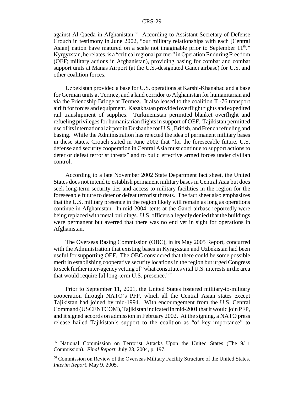against Al Qaeda in Afghanistan.<sup>55</sup> According to Assistant Secretary of Defense Crouch in testimony in June 2002, "our military relationships with each [Central Asian] nation have matured on a scale not imaginable prior to September  $11<sup>th</sup>$ ." Kyrgyzstan, he relates, is a "critical regional partner" in Operation Enduring Freedom (OEF; military actions in Afghanistan), providing basing for combat and combat support units at Manas Airport (at the U.S.-designated Ganci airbase) for U.S. and other coalition forces.

Uzbekistan provided a base for U.S. operations at Karshi-Khanabad and a base for German units at Termez, and a land corridor to Afghanistan for humanitarian aid via the Friendship Bridge at Termez. It also leased to the coalition IL-76 transport airlift for forces and equipment. Kazakhstan provided overflight rights and expedited rail transhipment of supplies. Turkmenistan permitted blanket overflight and refueling privileges for humanitarian flights in support of OEF. Tajikistan permitted use of its international airport in Dushanbe for U.S., British, and French refueling and basing. While the Administration has rejected the idea of permanent military bases in these states, Crouch stated in June 2002 that "for the foreseeable future, U.S. defense and security cooperation in Central Asia must continue to support actions to deter or defeat terrorist threats" and to build effective armed forces under civilian control.

According to a late November 2002 State Department fact sheet, the United States does not intend to establish permanent military bases in Central Asia but does seek long-term security ties and access to military facilities in the region for the foreseeable future to deter or defeat terrorist threats. The fact sheet also emphasizes that the U.S. military presence in the region likely will remain as long as operations continue in Afghanistan. In mid-2004, tents at the Ganci airbase reportedly were being replaced with metal buildings. U.S. officers allegedly denied that the buildings were permanent but averred that there was no end yet in sight for operations in Afghanistan.

The Overseas Basing Commission (OBC), in its May 2005 Report, concurred with the Administration that existing bases in Kyrgyzstan and Uzbekistan had been useful for supporting OEF. The OBC considered that there could be some possible merit in establishing cooperative security locations in the region but urged Congress to seek further inter-agency vetting of "what constitutes vital U.S. interests in the area that would require [a] long-term U.S. presence."56

Prior to September 11, 2001, the United States fostered military-to-military cooperation through NATO's PFP, which all the Central Asian states except Tajikistan had joined by mid-1994. With encouragement from the U.S. Central Command (USCENTCOM), Tajikistan indicated in mid-2001 that it would join PFP, and it signed accords on admission in February 2002. At the signing, a NATO press release hailed Tajikistan's support to the coalition as "of key importance" to

<sup>55</sup> National Commission on Terrorist Attacks Upon the United States (The 9/11 Commission). *Final Report*, July 23, 2004, p. 197.

<sup>&</sup>lt;sup>56</sup> Commission on Review of the Overseas Military Facility Structure of the United States. *Interim Report*, May 9, 2005.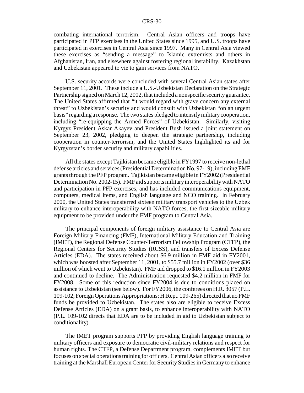combating international terrorism. Central Asian officers and troops have participated in PFP exercises in the United States since 1995, and U.S. troops have participated in exercises in Central Asia since 1997. Many in Central Asia viewed these exercises as "sending a message" to Islamic extremists and others in Afghanistan, Iran, and elsewhere against fostering regional instability. Kazakhstan and Uzbekistan appeared to vie to gain services from NATO.

U.S. security accords were concluded with several Central Asian states after September 11, 2001. These include a U.S.-Uzbekistan Declaration on the Strategic Partnership signed on March 12, 2002, that included a nonspecific security guarantee. The United States affirmed that "it would regard with grave concern any external threat" to Uzbekistan's security and would consult with Uzbekistan "on an urgent basis" regarding a response. The two states pledged to intensify military cooperation, including "re-equipping the Armed Forces" of Uzbekistan. Similarly, visiting Kyrgyz President Askar Akayev and President Bush issued a joint statement on September 23, 2002, pledging to deepen the strategic partnership, including cooperation in counter-terrorism, and the United States highlighted its aid for Kyrgyzstan's border security and military capabilities.

All the states except Tajikistan became eligible in FY1997 to receive non-lethal defense articles and services (Presidential Determination No. 97-19), including FMF grants through the PFP program. Tajikistan became eligible in FY2002 (Presidential Determination No. 2002-15). FMF aid supports military interoperability with NATO and participation in PFP exercises, and has included communications equipment, computers, medical items, and English language and NCO training. In February 2000, the United States transferred sixteen military transport vehicles to the Uzbek military to enhance interoperability with NATO forces, the first sizeable military equipment to be provided under the FMF program to Central Asia.

The principal components of foreign military assistance to Central Asia are Foreign Military Financing (FMF), International Military Education and Training (IMET), the Regional Defense Counter-Terrorism Fellowship Program (CTFP), the Regional Centers for Security Studies (RCSS), and transfers of Excess Defense Articles (EDA). The states received about \$6.9 million in FMF aid in FY2001, which was boosted after September 11, 2001, to \$55.7 million in FY2002 (over \$36 million of which went to Uzbekistan). FMF aid dropped to \$16.1 million in FY2003 and continued to decline. The Administration requested \$4.2 million in FMF for FY2008. Some of this reduction since FY2004 is due to conditions placed on assistance to Uzbekistan (see below). For FY2006, the conferees on H.R. 3057 (P.L. 109-102; Foreign Operations Appropriations; H.Rept. 109-265) directed that no FMF funds be provided to Uzbekistan. The states also are eligible to receive Excess Defense Articles (EDA) on a grant basis, to enhance interoperability with NATO (P.L. 109-102 directs that EDA are to be included in aid to Uzbekistan subject to conditionality).

The IMET program supports PFP by providing English language training to military officers and exposure to democratic civil-military relations and respect for human rights. The CTFP, a Defense Department program, complements IMET but focuses on special operations training for officers. Central Asian officers also receive training at the Marshall European Center for Security Studies in Germany to enhance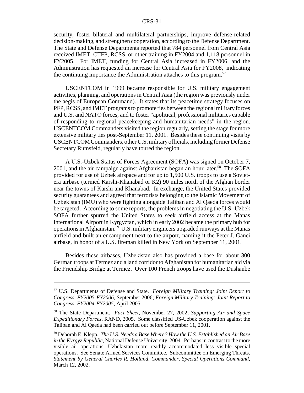security, foster bilateral and multilateral partnerships, improve defense-related decision-making, and strengthen cooperation, according to the Defense Department. The State and Defense Departments reported that 784 personnel from Central Asia received IMET, CTFP, RCSS, or other training in FY2004 and 1,118 personnel in FY2005. For IMET, funding for Central Asia increased in FY2006, and the Administration has requested an increase for Central Asia for FY2008, indicating the continuing importance the Administration attaches to this program.<sup>57</sup>

USCENTCOM in 1999 became responsible for U.S. military engagement activities, planning, and operations in Central Asia (the region was previously under the aegis of European Command). It states that its peacetime strategy focuses on PFP, RCSS, and IMET programs to promote ties between the regional military forces and U.S. and NATO forces, and to foster "apolitical, professional militaries capable of responding to regional peacekeeping and humanitarian needs" in the region. USCENTCOM Commanders visited the region regularly, setting the stage for more extensive military ties post-September 11, 2001. Besides these continuing visits by USCENTCOM Commanders, other U.S. military officials, including former Defense Secretary Rumsfeld, regularly have toured the region.

A U.S.-Uzbek Status of Forces Agreement (SOFA) was signed on October 7, 2001, and the air campaign against Afghanistan began an hour later.<sup>58</sup> The SOFA provided for use of Uzbek airspace and for up to 1,500 U.S. troops to use a Sovietera airbase (termed Karshi-Khanabad or K2) 90 miles north of the Afghan border near the towns of Karshi and Khanabad. In exchange, the United States provided security guarantees and agreed that terrorists belonging to the Islamic Movement of Uzbekistan (IMU) who were fighting alongside Taliban and Al Qaeda forces would be targeted. According to some reports, the problems in negotiating the U.S.-Uzbek SOFA further spurred the United States to seek airfield access at the Manas International Airport in Kyrgyztan, which in early 2002 became the primary hub for operations in Afghanistan.<sup>59</sup> U.S. military engineers upgraded runways at the Manas airfield and built an encampment next to the airport, naming it the Peter J. Ganci airbase, in honor of a U.S. fireman killed in New York on September 11, 2001.

Besides these airbases, Uzbekistan also has provided a base for about 300 German troops at Termez and a land corridor to Afghanistan for humanitarian aid via the Friendship Bridge at Termez. Over 100 French troops have used the Dushanbe

<sup>57</sup> U.S. Departments of Defense and State. *Foreign Military Training: Joint Report to Congress, FY2005-FY2006*, September 2006; *Foreign Military Training: Joint Report to Congress, FY2004-FY2005*, April 2005.

<sup>58</sup> The State Department. *Fact Sheet,* November 27, 2002; *Supporting Air and Space Expeditionary Forces*, RAND, 2005. Some classified US-Uzbek cooperation against the Taliban and Al Qaeda had been carried out before September 11, 2001.

<sup>59</sup> Deborah E. Klepp. *The U.S. Needs a Base Where? How the U.S. Established an Air Base in the Kyrgyz Republic*, National Defense University, 2004. Perhaps in contrast to the more visible air operations, Uzbekistan more readily accommodated less visible special operations. See Senate Armed Services Committee. Subcommittee on Emerging Threats. *Statement by General Charles R. Holland, Commander, Special Operations Command*, March 12, 2002.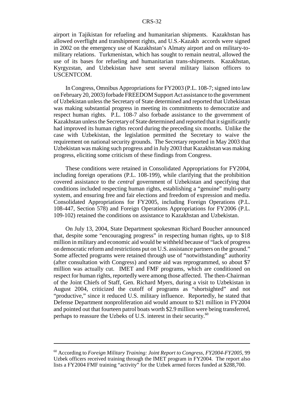airport in Tajikistan for refueling and humanitarian shipments. Kazakhstan has allowed overflight and transhipment rights, and U.S.-Kazakh accords were signed in 2002 on the emergency use of Kazakhstan's Almaty airport and on military-tomilitary relations. Turkmenistan, which has sought to remain neutral, allowed the use of its bases for refueling and humanitarian trans-shipments. Kazakhstan, Kyrgyzstan, and Uzbekistan have sent several military liaison officers to USCENTCOM.

In Congress, Omnibus Appropriations for FY2003 (P.L. 108-7; signed into law on February 20, 2003) forbade FREEDOM Support Act assistance to the government of Uzbekistan unless the Secretary of State determined and reported that Uzbekistan was making substantial progress in meeting its commitments to democratize and respect human rights. P.L. 108-7 also forbade assistance to the government of Kazakhstan unless the Secretary of State determined and reported that it significantly had improved its human rights record during the preceding six months. Unlike the case with Uzbekistan, the legislation permitted the Secretary to waive the requirement on national security grounds. The Secretary reported in May 2003 that Uzbekistan was making such progress and in July 2003 that Kazakhstan was making progress, eliciting some criticism of these findings from Congress.

These conditions were retained in Consolidated Appropriations for FY2004, including foreign operations (P.L. 108-199), while clarifying that the prohibition covered assistance to the *central* government of Uzbekistan and specifying that conditions included respecting human rights, establishing a "genuine" multi-party system, and ensuring free and fair elections and freedom of expression and media. Consolidated Appropriations for FY2005, including Foreign Operations (P.L. 108-447, Section 578) and Foreign Operations Appropriations for FY2006 (P.L. 109-102) retained the conditions on assistance to Kazakhstan and Uzbekistan.

On July 13, 2004, State Department spokesman Richard Boucher announced that, despite some "encouraging progress" in respecting human rights, up to \$18 million in military and economic aid would be withheld because of "lack of progress on democratic reform and restrictions put on U.S. assistance partners on the ground." Some affected programs were retained through use of "notwithstanding" authority (after consultation with Congress) and some aid was reprogrammed, so about \$7 million was actually cut. IMET and FMF programs, which are conditioned on respect for human rights, reportedly were among those affected. The then-Chairman of the Joint Chiefs of Staff, Gen. Richard Myers, during a visit to Uzbekistan in August 2004, criticized the cutoff of programs as "shortsighted" and not "productive," since it reduced U.S. military influence. Reportedly, he stated that Defense Department nonproliferation aid would amount to \$21 million in FY2004 and pointed out that fourteen patrol boats worth \$2.9 million were being transferred, perhaps to reassure the Uzbeks of U.S. interest in their security.<sup>60</sup>

<sup>60</sup> According to *Foreign Military Training: Joint Report to Congress, FY2004-FY2005*, 99 Uzbek officers received training through the IMET program in FY2004. The report also lists a FY2004 FMF training "activity" for the Uzbek armed forces funded at \$288,700.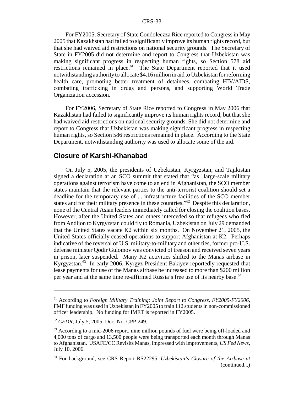For FY2005, Secretary of State Condoleezza Rice reported to Congress in May 2005 that Kazakhstan had failed to significantly improve its human rights record, but that she had waived aid restrictions on national security grounds. The Secretary of State in FY2005 did not determine and report to Congress that Uzbekistan was making significant progress in respecting human rights, so Section 578 aid restrictions remained in place.<sup>61</sup> The State Department reported that it used notwithstanding authority to allocate \$4.16 million in aid to Uzbekistan for reforming health care, promoting better treatment of detainees, combating HIV/AIDS, combating trafficking in drugs and persons, and supporting World Trade Organization accession.

For FY2006, Secretary of State Rice reported to Congress in May 2006 that Kazakhstan had failed to significantly improve its human rights record, but that she had waived aid restrictions on national security grounds. She did not determine and report to Congress that Uzbekistan was making significant progress in respecting human rights, so Section 586 restrictions remained in place. According to the State Department, notwithstanding authority was used to allocate some of the aid.

## **Closure of Karshi-Khanabad**

On July 5, 2005, the presidents of Uzbekistan, Kyrgyzstan, and Tajikistan signed a declaration at an SCO summit that stated that "as large-scale military operations against terrorism have come to an end in Afghanistan, the SCO member states maintain that the relevant parties to the anti-terrorist coalition should set a deadline for the temporary use of ... infrastructure facilities of the SCO member states and for their military presence in these countries."<sup>62</sup> Despite this declaration, none of the Central Asian leaders immediately called for closing the coalition bases. However, after the United States and others interceded so that refugees who fled from Andijon to Kyrgyzstan could fly to Romania, Uzbekistan on July 29 demanded that the United States vacate K2 within six months. On November 21, 2005, the United States officially ceased operations to support Afghanistan at K2. Perhaps indicative of the reversal of U.S. military-to-military and other ties, former pro-U.S. defense minister Qodir Gulomov was convicted of treason and received seven years in prison, later suspended. Many K2 activities shifted to the Manas airbase in Kyrgyzstan.63 In early 2006, Kyrgyz President Bakiyev reportedly requested that lease payments for use of the Manas airbase be increased to more than \$200 million per year and at the same time re-affirmed Russia's free use of its nearby base.64

<sup>61</sup> According to *Foreign Military Training: Joint Report to Congress, FY2005-FY2006*, FMF funding was used in Uzbekistan in FY2005 to train 112 students in non-commissioned officer leadership. No funding for IMET is reported in FY2005.

<sup>62</sup> *CEDR*, July 5, 2005, Doc. No. CPP-249.

<sup>&</sup>lt;sup>63</sup> According to a mid-2006 report, nine million pounds of fuel were being off-loaded and 4,000 tons of cargo and 13,500 people were being transported each month through Manas to Afghanistan. USAFE/CC Revisits Manas, Impressed with Improvements, *US Fed News*, July 10, 2006.

<sup>64</sup> For background, see CRS Report RS22295, *Uzbekistan's Closure of the Airbase at* (continued...)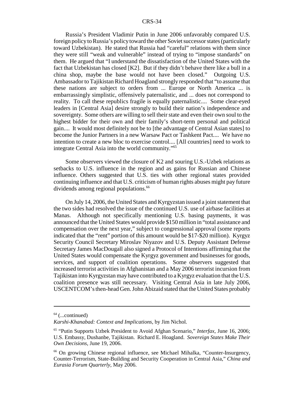Russia's President Vladimir Putin in June 2006 unfavorably compared U.S. foreign policy to Russia's policy toward the other Soviet successor states (particularly toward Uzbekistan). He stated that Russia had "careful" relations with them since they were still "weak and vulnerable" instead of trying to "impose standards" on them. He argued that "I understand the dissatisfaction of the United States with the fact that Uzbekistan has closed [K2]. But if they didn't behave there like a bull in a china shop, maybe the base would not have been closed." Outgoing U.S. Ambassador to Tajikistan Richard Hoagland strongly responded that "to assume that these nations are subject to orders from ... Europe or North America ... is embarrassingly simplistic, offensively paternalistic, and ... does not correspond to reality. To call these republics fragile is equally paternalistic.... Some clear-eyed leaders in [Central Asia] desire strongly to build their nation's independence and sovereignty. Some others are willing to sell their state and even their own soul to the highest bidder for their own and their family's short-term personal and political gain.... It would most definitely not be to [the advantage of Central Asian states] to become the Junior Partners in a new Warsaw Pact or Tashkent Pact.... We have no intention to create a new bloc to exercise control.... [All countries] need to work to integrate Central Asia into the world community."65

Some observers viewed the closure of K2 and souring U.S.-Uzbek relations as setbacks to U.S. influence in the region and as gains for Russian and Chinese influence. Others suggested that U.S. ties with other regional states provided continuing influence and that U.S. criticism of human rights abuses might pay future dividends among regional populations.<sup>66</sup>

On July 14, 2006, the United States and Kyrgyzstan issued a joint statement that the two sides had resolved the issue of the continued U.S. use of airbase facilities at Manas. Although not specifically mentioning U.S. basing payments, it was announced that the United States would provide \$150 million in "total assistance and compensation over the next year," subject to congressional approval (some reports indicated that the "rent" portion of this amount would be \$17-\$20 million). Kyrgyz Security Council Secretary Miroslav Niyazov and U.S. Deputy Assistant Defense Secretary James MacDougall also signed a Protocol of Intentions affirming that the United States would compensate the Kyrgyz government and businesses for goods, services, and support of coalition operations. Some observers suggested that increased terrorist activities in Afghanistan and a May 2006 terrorist incursion from Tajikistan into Kyrgyzstan may have contributed to a Kyrgyz evaluation that the U.S. coalition presence was still necessary. Visiting Central Asia in late July 2006, USCENTCOM's then-head Gen. John Abizaid stated that the United States probably

 $64$  (...continued)

*Karshi-Khanabad: Context and Implications*, by Jim Nichol.

<sup>65 &</sup>quot;Putin Supports Uzbek President to Avoid Afghan Scenario," *Interfax*, June 16, 2006; U.S. Embassy, Dushanbe, Tajikistan. Richard E. Hoagland. *Sovereign States Make Their Own Decisions,* June 19, 2006.

<sup>66</sup> On growing Chinese regional influence, see Michael Mihalka, "Counter-Insurgency, Counter-Terrorism, State-Building and Security Cooperation in Central Asia," *China and Eurasia Forum Quarterly*, May 2006.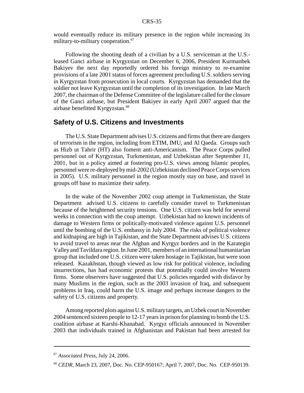would eventually reduce its military presence in the region while increasing its military-to-military cooperation.<sup>67</sup>

Following the shooting death of a civilian by a U.S. serviceman at the U.S. leased Ganci airbase in Kyrgyzstan on December 6, 2006, President Kurmanbek Bakiyev the next day reportedly ordered his foreign ministry to re-examine provisions of a late 2001 status of forces agreement precluding U.S. soldiers serving in Kyrgyzstan from prosecution in local courts. Kyrgyzstan has demanded that the soldier not leave Kyrgyzstan until the completion of its investigation. In late March 2007, the chairman of the Defense Committee of the legislature called for the closure of the Ganci airbase, but President Bakiyev in early April 2007 argued that the airbase benefitted Kyrgyzstan.<sup>68</sup>

### **Safety of U.S. Citizens and Investments**

The U.S. State Department advises U.S. citizens and firms that there are dangers of terrorism in the region, including from ETIM, IMU, and Al Qaeda. Groups such as Hizb ut Tahrir (HT) also foment anti-Americanism. The Peace Corps pulled personnel out of Kyrgyzstan, Turkmenistan, and Uzbekistan after September 11, 2001, but in a policy aimed at fostering pro-U.S. views among Islamic peoples, personnel were re-deployed by mid-2002 (Uzbekistan declined Peace Corps services in 2005). U.S. military personnel in the region mostly stay on base, and travel in groups off base to maximize their safety.

In the wake of the November 2002 coup attempt in Turkmenistan, the State Department advised U.S. citizens to carefully consider travel to Turkmenistan because of the heightened security tensions. One U.S. citizen was held for several weeks in connection with the coup attempt. Uzbekistan had no known incidents of damage to Western firms or politically-motivated violence against U.S. personnel until the bombing of the U.S. embassy in July 2004. The risks of political violence and kidnaping are high in Tajikistan, and the State Department advises U.S. citizens to avoid travel to areas near the Afghan and Kyrgyz borders and in the Karategin Valley and Tavildara region. In June 2001, members of an international humanitarian group that included one U.S. citizen were taken hostage in Tajikistan, but were soon released. Kazakhstan, though viewed as low risk for political violence, including insurrections, has had economic protests that potentially could involve Western firms. Some observers have suggested that U.S. policies regarded with disfavor by many Muslims in the region, such as the 2003 invasion of Iraq, and subsequent problems in Iraq, could harm the U.S. image and perhaps increase dangers to the safety of U.S. citizens and property.

Among reported plots against U.S. military targets, an Uzbek court in November 2004 sentenced sixteen people to 12-17 years in prison for planning to bomb the U.S. coalition airbase at Karshi-Khanabad. Kyrgyz officials announced in November 2003 that individuals trained in Afghanistan and Pakistan had been arrested for

<sup>67</sup> *Associated Press*, July 24, 2006.

<sup>68</sup> *CEDR*, March 23, 2007, Doc. No. CEP-950167; April 7, 2007, Doc. No. CEP-950139.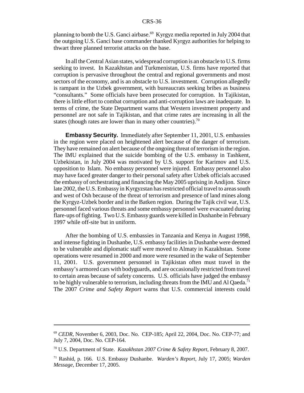planning to bomb the U.S. Ganci airbase.<sup>69</sup> Kyrgyz media reported in July 2004 that the outgoing U.S. Ganci base commander thanked Kyrgyz authorities for helping to thwart three planned terrorist attacks on the base.

In all the Central Asian states, widespread corruption is an obstacle to U.S. firms seeking to invest. In Kazakhstan and Turkmenistan, U.S. firms have reported that corruption is pervasive throughout the central and regional governments and most sectors of the economy, and is an obstacle to U.S. investment. Corruption allegedly is rampant in the Uzbek government, with bureaucrats seeking bribes as business "consultants." Some officials have been prosecuted for corruption. In Tajikistan, there is little effort to combat corruption and anti-corruption laws are inadequate. In terms of crime, the State Department warns that Western investment property and personnel are not safe in Tajikistan, and that crime rates are increasing in all the states (though rates are lower than in many other countries).<sup>70</sup>

**Embassy Security.** Immediately after September 11, 2001, U.S. embassies in the region were placed on heightened alert because of the danger of terrorism. They have remained on alert because of the ongoing threat of terrorism in the region. The IMU explained that the suicide bombing of the U.S. embassy in Tashkent, Uzbekistan, in July 2004 was motivated by U.S. support for Karimov and U.S. opposition to Islam. No embassy personnel were injured. Embassy personnel also may have faced greater danger to their personal safety after Uzbek officials accused the embassy of orchestrating and financing the May 2005 uprising in Andijon. Since late 2002, the U.S. Embassy in Kyrgyzstan has restricted official travel to areas south and west of Osh because of the threat of terrorism and presence of land mines along the Kyrgyz-Uzbek border and in the Batken region. During the Tajik civil war, U.S. personnel faced various threats and some embassy personnel were evacuated during flare-ups of fighting. Two U.S. Embassy guards were killed in Dushanbe in February 1997 while off-site but in uniform.

After the bombing of U.S. embassies in Tanzania and Kenya in August 1998, and intense fighting in Dushanbe, U.S. embassy facilities in Dushanbe were deemed to be vulnerable and diplomatic staff were moved to Almaty in Kazakhstan. Some operations were resumed in 2000 and more were resumed in the wake of September 11, 2001. U.S. government personnel in Tajikistan often must travel in the embassy's armored cars with bodyguards, and are occasionally restricted from travel to certain areas because of safety concerns. U.S. officials have judged the embassy to be highly vulnerable to terrorism, including threats from the IMU and Al Qaeda.<sup>71</sup> The 2007 *Crime and Safety Report* warns that U.S. commercial interests could

<sup>69</sup> *CEDR*, November 6, 2003, Doc. No. CEP-185; April 22, 2004, Doc. No. CEP-77; and July 7, 2004, Doc. No. CEP-164.

<sup>70</sup> U.S. Department of State. *Kazakhstan 2007 Crime & Safety Report*, February 8, 2007.

<sup>71</sup> Rashid, p. 166. U.S. Embassy Dushanbe. *Warden's Report,* July 17, 2005; *Warden Message*, December 17, 2005.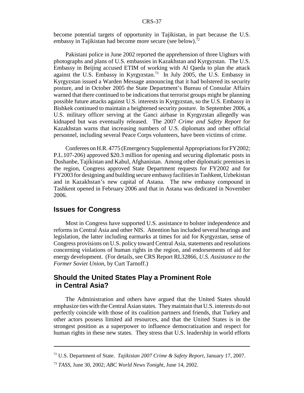become potential targets of opportunity in Tajikistan, in part because the U.S. embassy in Tajikistan had become more secure (see below).<sup>72</sup>

Pakistani police in June 2002 reported the apprehension of three Uighurs with photographs and plans of U.S. embassies in Kazakhstan and Kyrgyzstan. The U.S. Embassy in Beijing accused ETIM of working with Al Qaeda to plan the attack against the U.S. Embassy in Kyrgyzstan.<sup>73</sup> In July 2005, the U.S. Embassy in Kyrgyzstan issued a Warden Message announcing that it had bolstered its security posture, and in October 2005 the State Department's Bureau of Consular Affairs warned that there continued to be indications that terrorist groups might be planning possible future attacks against U.S. interests in Kyrgyzstan, so the U.S. Embassy in Bishkek continued to maintain a heightened security posture. In September 2006, a U.S. military officer serving at the Ganci airbase in Kyrgyzstan allegedly was kidnaped but was eventually released. The 2007 *Crime and Safety Report* for Kazakhstan warns that increasing numbers of U.S. diplomats and other official personnel, including several Peace Corps volunteers, have been victims of crime.

Conferees on H.R. 4775 (Emergency Supplemental Appropriations for FY2002; P.L.107-206) approved \$20.3 million for opening and securing diplomatic posts in Dushanbe, Tajikistan and Kabul, Afghanistan. Among other diplomatic premises in the region, Congress approved State Department requests for FY2002 and for FY2003 for designing and building secure embassy facilities in Tashkent, Uzbekistan and in Kazakhstan's new capital of Astana. The new embassy compound in Tashkent opened in February 2006 and that in Astana was dedicated in November 2006.

## **Issues for Congress**

Most in Congress have supported U.S. assistance to bolster independence and reforms in Central Asia and other NIS. Attention has included several hearings and legislation, the latter including earmarks at times for aid for Kyrgyzstan, sense of Congress provisions on U.S. policy toward Central Asia, statements and resolutions concerning violations of human rights in the region, and endorsements of aid for energy development. (For details, see CRS Report RL32866, *U.S. Assistance to the Former Soviet Union*, by Curt Tarnoff.)

## **Should the United States Play a Prominent Role in Central Asia?**

The Administration and others have argued that the United States should emphasize ties with the Central Asian states. They maintain that U.S. interests do not perfectly coincide with those of its coalition partners and friends, that Turkey and other actors possess limited aid resources, and that the United States is in the strongest position as a superpower to influence democratization and respect for human rights in these new states. They stress that U.S. leadership in world efforts

<sup>72</sup> U.S. Department of State. *Tajikistan 2007 Crime & Safety Report*, January 17, 2007.

<sup>73</sup> *TASS*, June 30, 2002; *ABC World News Tonight*, June 14, 2002.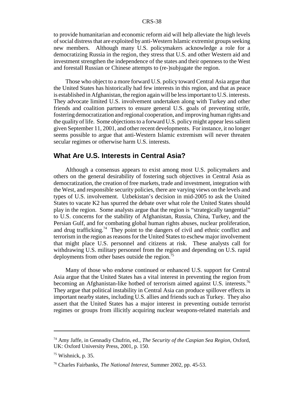to provide humanitarian and economic reform aid will help alleviate the high levels of social distress that are exploited by anti-Western Islamic extremist groups seeking new members. Although many U.S. policymakers acknowledge a role for a democratizing Russia in the region, they stress that U.S. and other Western aid and investment strengthen the independence of the states and their openness to the West and forestall Russian or Chinese attempts to (re-)subjugate the region.

Those who object to a more forward U.S. policy toward Central Asia argue that the United States has historically had few interests in this region, and that as peace is established in Afghanistan, the region again will be less important to U.S. interests. They advocate limited U.S. involvement undertaken along with Turkey and other friends and coalition partners to ensure general U.S. goals of preventing strife, fostering democratization and regional cooperation, and improving human rights and the quality of life. Some objections to a forward U.S. policy might appear less salient given September 11, 2001, and other recent developments. For instance, it no longer seems possible to argue that anti-Western Islamic extremism will never threaten secular regimes or otherwise harm U.S. interests.

## **What Are U.S. Interests in Central Asia?**

Although a consensus appears to exist among most U.S. policymakers and others on the general desirability of fostering such objectives in Central Asia as democratization, the creation of free markets, trade and investment, integration with the West, and responsible security policies, there are varying views on the levels and types of U.S. involvement. Uzbekistan's decision in mid-2005 to ask the United States to vacate K2 has spurred the debate over what role the United States should play in the region. Some analysts argue that the region is "strategically tangential" to U.S. concerns for the stability of Afghanistan, Russia, China, Turkey, and the Persian Gulf, and for combating global human rights abuses, nuclear proliferation, and drug trafficking.<sup>74</sup> They point to the dangers of civil and ethnic conflict and terrorism in the region as reasons for the United States to eschew major involvement that might place U.S. personnel and citizens at risk. These analysts call for withdrawing U.S. military personnel from the region and depending on U.S. rapid deployments from other bases outside the region.<sup>75</sup>

Many of those who endorse continued or enhanced U.S. support for Central Asia argue that the United States has a vital interest in preventing the region from becoming an Afghanistan-like hotbed of terrorism aimed against U.S. interests.<sup>76</sup> They argue that political instability in Central Asia can produce spillover effects in important nearby states, including U.S. allies and friends such as Turkey. They also assert that the United States has a major interest in preventing outside terrorist regimes or groups from illicitly acquiring nuclear weapons-related materials and

<sup>74</sup> Amy Jaffe, in Gennadiy Chufrin, ed., *The Security of the Caspian Sea Region*, Oxford, UK: Oxford University Press, 2001, p. 150.

 $75$  Wishnick, p. 35.

<sup>76</sup> Charles Fairbanks, *The National Interest*, Summer 2002, pp. 45-53.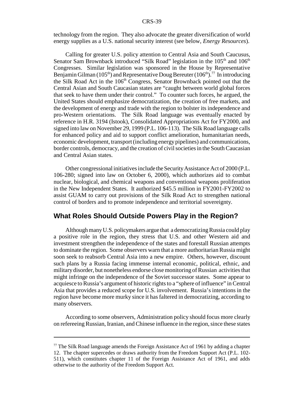technology from the region. They also advocate the greater diversification of world energy supplies as a U.S. national security interest (see below, *Energy Resources*).

Calling for greater U.S. policy attention to Central Asia and South Caucusus, Senator Sam Brownback introduced "Silk Road" legislation in the  $105<sup>th</sup>$  and  $106<sup>th</sup>$ Congresses. Similar legislation was sponsored in the House by Representative Benjamin Gilman (105<sup>th</sup>) and Representative Doug Bereuter (106<sup>th</sup>).<sup>77</sup> In introducing the Silk Road Act in the 106<sup>th</sup> Congress, Senator Brownback pointed out that the Central Asian and South Caucasian states are "caught between world global forces that seek to have them under their control." To counter such forces, he argued, the United States should emphasize democratization, the creation of free markets, and the development of energy and trade with the region to bolster its independence and pro-Western orientations. The Silk Road language was eventually enacted by reference in H.R. 3194 (Istook), Consolidated Appropriations Act for FY2000, and signed into law on November 29, 1999 (P.L. 106-113). The Silk Road language calls for enhanced policy and aid to support conflict amelioration, humanitarian needs, economic development, transport (including energy pipelines) and communications, border controls, democracy, and the creation of civil societies in the South Caucasian and Central Asian states.

Other congressional initiatives include the Security Assistance Act of 2000 (P.L. 106-280; signed into law on October 6, 2000), which authorizes aid to combat nuclear, biological, and chemical weapons and conventional weapons proliferation in the New Independent States. It authorized \$45.5 million in FY2001-FY2002 to assist GUAM to carry out provisions of the Silk Road Act to strengthen national control of borders and to promote independence and territorial sovereignty.

## **What Roles Should Outside Powers Play in the Region?**

Although many U.S. policymakers argue that a democratizing Russia could play a positive role in the region, they stress that U.S. and other Western aid and investment strengthen the independence of the states and forestall Russian attempts to dominate the region. Some observers warn that a more authoritarian Russia might soon seek to reabsorb Central Asia into a new empire. Others, however, discount such plans by a Russia facing immense internal economic, political, ethnic, and military disorder, but nonetheless endorse close monitoring of Russian activities that might infringe on the independence of the Soviet successor states. Some appear to acquiesce to Russia's argument of historic rights to a "sphere of influence" in Central Asia that provides a reduced scope for U.S. involvement. Russia's intentions in the region have become more murky since it has faltered in democratizing, according to many observers.

According to some observers, Administration policy should focus more clearly on refereeing Russian, Iranian, and Chinese influence in the region, since these states

 $77$  The Silk Road language amends the Foreign Assistance Act of 1961 by adding a chapter 12. The chapter supercedes or draws authority from the Freedom Support Act (P.L. 102- 511), which constitutes chapter 11 of the Foreign Assistance Act of 1961, and adds otherwise to the authority of the Freedom Support Act.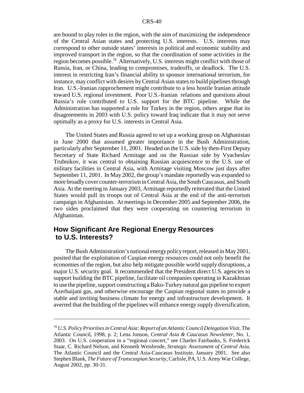are bound to play roles in the region, with the aim of maximizing the independence of the Central Asian states and protecting U.S. interests. U.S. interests may correspond to other outside states' interests in political and economic stability and improved transport in the region, so that the coordination of some activities in the region becomes possible.78 Alternatively, U.S. interests might conflict with those of Russia, Iran, or China, leading to compromises, tradeoffs, or deadlock. The U.S. interest in restricting Iran's financial ability to sponsor international terrorism, for instance, may conflict with desires by Central Asian states to build pipelines through Iran. U.S.-Iranian rapprochement might contribute to a less hostile Iranian attitude toward U.S. regional investment. Poor U.S.-Iranian relations and questions about Russia's role contributed to U.S. support for the BTC pipeline. While the Administration has supported a role for Turkey in the region, others argue that its disagreements in 2003 with U.S. policy toward Iraq indicate that it may not serve optimally as a proxy for U.S. interests in Central Asia.

The United States and Russia agreed to set up a working group on Afghanistan in June 2000 that assumed greater importance in the Bush Administration, particularly after September 11, 2001. Headed on the U.S. side by then-First Deputy Secretary of State Richard Armitage and on the Russian side by Vyacheslav Trubnikov, it was central to obtaining Russian acquiescence to the U.S. use of military facilities in Central Asia, with Armitage visiting Moscow just days after September 11, 2001. In May 2002, the group's mandate reportedly was expanded to more broadly cover counter-terrorism in Central Asia, the South Caucasus, and South Asia. At the meeting in January 2003, Armitage reportedly reiterated that the United States would pull its troops out of Central Asia at the end of the anti-terrorism campaign in Afghanistan. At meetings in December 2005 and September 2006, the two sides proclaimed that they were cooperating on countering terrorism in Afghanistan.

## **How Significant Are Regional Energy Resources to U.S. Interests?**

The Bush Administration's national energy policy report, released in May 2001, posited that the exploitation of Caspian energy resources could not only benefit the economies of the region, but also help mitigate possible world supply disruptions, a major U.S. security goal. It recommended that the President direct U.S. agencies to support building the BTC pipeline, facilitate oil companies operating in Kazakhstan to use the pipeline, support constructing a Baku-Turkey natural gas pipeline to export Azerbaijani gas, and otherwise encourage the Caspian regional states to provide a stable and inviting business climate for energy and infrastructure development. It averred that the building of the pipelines will enhance energy supply diversification,

<sup>78</sup> *U.S. Policy Priorities in Central Asia: Report of an Atlantic Council Delegation Visit*, The Atlantic Council, 1998, p. 2; Lena Jonson, *Central Asia & Caucasus Newsletter*, No. 1, 2003. On U.S. cooperation in a "regional concert," see Charles Fairbanks, S. Frederick Staar, C. Richard Nelson, and Kenneth Weisbrode, *Strategic Assessment of Central Asia*, The Atlantic Council and the Central Asia-Caucasus Institute, January 2001. See also Stephen Blank, *The Future of Transcaspian Security*, Carlisle, PA, U.S. Army War College, August 2002, pp. 30-31.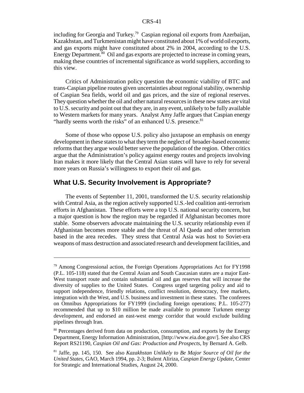including for Georgia and Turkey.<sup>79</sup> Caspian regional oil exports from Azerbaijan, Kazakhstan, and Turkmenistan might have constituted about 1% of world oil exports, and gas exports might have constituted about 2% in 2004, according to the U.S. Energy Department. $80$  Oil and gas exports are projected to increase in coming years, making these countries of incremental significance as world suppliers, according to this view.

Critics of Administration policy question the economic viability of BTC and trans-Caspian pipeline routes given uncertainties about regional stability, ownership of Caspian Sea fields, world oil and gas prices, and the size of regional reserves. They question whether the oil and other natural resources in these new states are vital to U.S. security and point out that they are, in any event, unlikely to be fully available to Western markets for many years. Analyst Amy Jaffe argues that Caspian energy "hardly seems worth the risks" of an enhanced U.S. presence.<sup>81</sup>

Some of those who oppose U.S. policy also juxtapose an emphasis on energy development in these states to what they term the neglect of broader-based economic reforms that they argue would better serve the population of the region. Other critics argue that the Administration's policy against energy routes and projects involving Iran makes it more likely that the Central Asian states will have to rely for several more years on Russia's willingness to export their oil and gas.

#### **What U.S. Security Involvement is Appropriate?**

The events of September 11, 2001, transformed the U.S. security relationship with Central Asia, as the region actively supported U.S.-led coalition anti-terrorism efforts in Afghanistan. These efforts were a top U.S. national security concern, but a major question is how the region may be regarded if Afghanistan becomes more stable. Some observers advocate maintaining the U.S. security relationship even if Afghanistan becomes more stable and the threat of Al Qaeda and other terrorism based in the area recedes. They stress that Central Asia was host to Soviet-era weapons of mass destruction and associated research and development facilities, and

<sup>79</sup> Among Congressional action, the Foreign Operations Appropriations Act for FY1998 (P.L. 105-118) stated that the Central Asian and South Caucasian states are a major East-West transport route and contain substantial oil and gas reserves that will increase the diversity of supplies to the United States. Congress urged targeting policy and aid to support independence, friendly relations, conflict resolution, democracy, free markets, integration with the West, and U.S. business and investment in these states. The conferees on Omnibus Appropriations for FY1999 (including foreign operations; P.L. 105-277) recommended that up to \$10 million be made available to promote Turkmen energy development, and endorsed an east-west energy corridor that would exclude building pipelines through Iran.

<sup>&</sup>lt;sup>80</sup> Percentages derived from data on production, consumption, and exports by the Energy Department, Energy Information Administration, [http://www.eia.doe.gov/]. See also CRS Report RS21190, *Caspian Oil and Gas: Production and Prospects*, by Bernard A. Gelb.

<sup>81</sup> Jaffe, pp. 145, 150. See also *Kazakhstan Unlikely to Be Major Source of Oil for the United States*, GAO, March 1994, pp. 2-3; Bulent Aliriza, *Caspian Energy Update*, Center for Strategic and International Studies, August 24, 2000.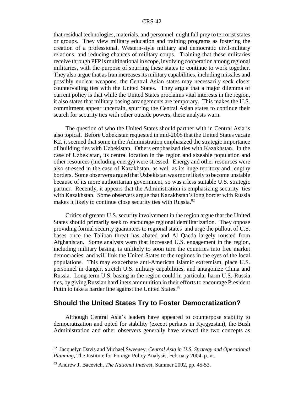that residual technologies, materials, and personnel might fall prey to terrorist states or groups. They view military education and training programs as fostering the creation of a professional, Western-style military and democratic civil-military relations, and reducing chances of military coups. Training that these militaries receive through PFP is multinational in scope, involving cooperation among regional militaries, with the purpose of spurring these states to continue to work together. They also argue that as Iran increases its military capabilities, including missiles and possibly nuclear weapons, the Central Asian states may necessarily seek closer countervailing ties with the United States. They argue that a major dilemma of current policy is that while the United States proclaims vital interests in the region, it also states that military basing arrangements are temporary. This makes the U.S. commitment appear uncertain, spurring the Central Asian states to continue their search for security ties with other outside powers, these analysts warn.

The question of who the United States should partner with in Central Asia is also topical. Before Uzbekistan requested in mid-2005 that the United States vacate K2, it seemed that some in the Administration emphasized the strategic importance of building ties with Uzbekistan. Others emphasized ties with Kazakhstan. In the case of Uzbekistan, its central location in the region and sizeable population and other resources (including energy) were stressed. Energy and other resources were also stressed in the case of Kazakhstan, as well as its huge territory and lengthy borders. Some observers argued that Uzbekistan was more likely to become unstable because of its more authoritarian government, so was a less suitable U.S. strategic partner. Recently, it appears that the Administration is emphasizing security ties with Kazakhstan. Some observers argue that Kazakhstan's long border with Russia makes it likely to continue close security ties with Russia.<sup>82</sup>

Critics of greater U.S. security involvement in the region argue that the United States should primarily seek to encourage regional demilitarization. They oppose providing formal security guarantees to regional states and urge the pullout of U.S. bases once the Taliban threat has abated and Al Qaeda largely rousted from Afghanistan. Some analysts warn that increased U.S. engagement in the region, including military basing, is unlikely to soon turn the countries into free market democracies, and will link the United States to the regimes in the eyes of the local populations. This may exacerbate anti-American Islamic extremism, place U.S. personnel in danger, stretch U.S. military capabilities, and antagonize China and Russia. Long-term U.S. basing in the region could in particular harm U.S.-Russia ties, by giving Russian hardliners ammunition in their efforts to encourage President Putin to take a harder line against the United States.<sup>83</sup>

## **Should the United States Try to Foster Democratization?**

Although Central Asia's leaders have appeared to counterpose stability to democratization and opted for stability (except perhaps in Kyrgyzstan), the Bush Administration and other observers generally have viewed the two concepts as

<sup>82</sup> Jacquelyn Davis and Michael Sweeney, *Central Asia in U.S. Strategy and Operational Planning*, The Institute for Foreign Policy Analysis, February 2004, p. vi.

<sup>83</sup> Andrew J. Bacevich, *The National Interest*, Summer 2002, pp. 45-53.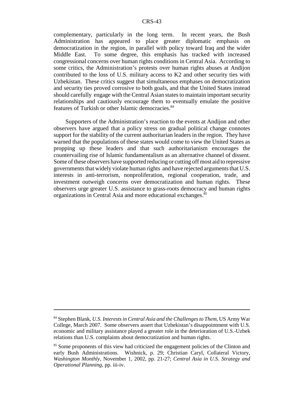complementary, particularly in the long term. In recent years, the Bush Administration has appeared to place greater diplomatic emphasis on democratization in the region, in parallel with policy toward Iraq and the wider Middle East. To some degree, this emphasis has tracked with increased congressional concerns over human rights conditions in Central Asia. According to some critics, the Administration's protests over human rights abuses at Andijon contributed to the loss of U.S. military access to K2 and other security ties with Uzbekistan. These critics suggest that simultaneous emphases on democratization and security ties proved corrosive to both goals, and that the United States instead should carefully engage with the Central Asian states to maintain important security relationships and cautiously encourage them to eventually emulate the positive features of Turkish or other Islamic democracies.<sup>84</sup>

Supporters of the Administration's reaction to the events at Andijon and other observers have argued that a policy stress on gradual political change connotes support for the stability of the current authoritarian leaders in the region. They have warned that the populations of these states would come to view the United States as propping up these leaders and that such authoritarianism encourages the countervailing rise of Islamic fundamentalism as an alternative channel of dissent. Some of these observers have supported reducing or cutting off most aid to repressive governments that widely violate human rights and have rejected arguments that U.S. interests in anti-terrorism, nonproliferation, regional cooperation, trade, and investment outweigh concerns over democratization and human rights. These observers urge greater U.S. assistance to grass-roots democracy and human rights organizations in Central Asia and more educational exchanges.85

<sup>84</sup> Stephen Blank, *U.S. Interests in Central Asia and the Challenges to Them*, US Army War College, March 2007. Some observers assert that Uzbekistan's disappointment with U.S. economic and military assistance played a greater role in the deterioration of U.S.-Uzbek relations than U.S. complaints about democratization and human rights.

<sup>&</sup>lt;sup>85</sup> Some proponents of this view had criticized the engagement policies of the Clinton and early Bush Administrations. Wishnick, p. 29; Christian Caryl, Collateral Victory, *Washington Monthly*, November 1, 2002, pp. 21-27; *Central Asia in U.S. Strategy and Operational Planning*, pp. iii-iv.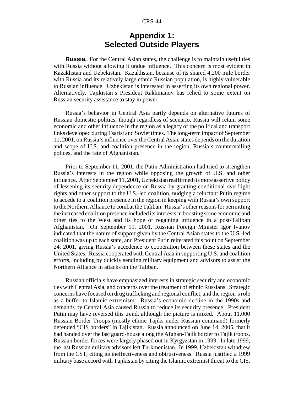# **Appendix 1: Selected Outside Players**

**Russia.** For the Central Asian states, the challenge is to maintain useful ties with Russia without allowing it undue influence. This concern is most evident in Kazakhstan and Uzbekistan. Kazakhstan, because of its shared 4,200 mile border with Russia and its relatively large ethnic Russian population, is highly vulnerable to Russian influence. Uzbekistan is interested in asserting its own regional power. Alternatively, Tajikistan's President Rakhmanov has relied to some extent on Russian security assistance to stay in power.

Russia's behavior in Central Asia partly depends on alternative futures of Russian domestic politics, though regardless of scenario, Russia will retain some economic and other influence in the region as a legacy of the political and transport links developed during Tsarist and Soviet times. The long-term impact of September 11, 2001, on Russia's influence over the Central Asian states depends on the duration and scope of U.S. and coalition presence in the region, Russia's countervailing polices, and the fate of Afghanistan.

Prior to September 11, 2001, the Putin Administration had tried to strengthen Russia's interests in the region while opposing the growth of U.S. and other influence. After September 11, 2001, Uzbekistan reaffirmed its more assertive policy of lessening its security dependence on Russia by granting conditional overflight rights and other support to the U.S.-led coalition, nudging a reluctant Putin regime to accede to a coalition presence in the region in keeping with Russia's own support to the Northern Alliance to combat the Taliban. Russia's other reasons for permitting the increased coalition presence included its interests in boosting some economic and other ties to the West and its hope of regaining influence in a post-Taliban Afghanistan. On September 19, 2001, Russian Foreign Minister Igor Ivanov indicated that the nature of support given by the Central Asian states to the U.S.-led coalition was up to each state, and President Putin reiterated this point on September 24, 2001, giving Russia's accedence to cooperation between these states and the United States. Russia cooperated with Central Asia in supporting U.S. and coalition efforts, including by quickly sending military equipment and advisors to assist the Northern Alliance in attacks on the Taliban.

Russian officials have emphasized interests in strategic security and economic ties with Central Asia, and concerns over the treatment of ethnic Russians. Strategic concerns have focused on drug trafficking and regional conflict, and the region's role as a buffer to Islamic extremism. Russia's economic decline in the 1990s and demands by Central Asia caused Russia to reduce its security presence. President Putin may have reversed this trend, although the picture is mixed. About 11,000 Russian Border Troops (mostly ethnic Tajiks under Russian command) formerly defended "CIS borders" in Tajikistan. Russia announced on June 14, 2005, that it had handed over the last guard-house along the Afghan-Tajik border to Tajik troops. Russian border forces were largely phased out in Kyrgyzstan in 1999. In late 1999, the last Russian military advisors left Turkmenistan. In 1999, Uzbekistan withdrew from the CST, citing its ineffectiveness and obtrusiveness. Russia justified a 1999 military base accord with Tajikistan by citing the Islamic extremist threat to the CIS.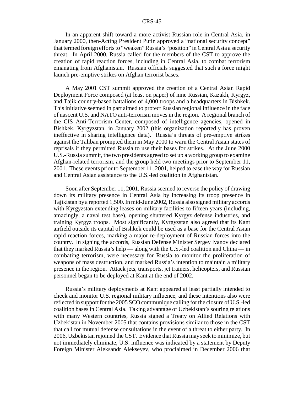In an apparent shift toward a more activist Russian role in Central Asia, in January 2000, then-Acting President Putin approved a "national security concept" that termed foreign efforts to "weaken" Russia's "position" in Central Asia a security threat. In April 2000, Russia called for the members of the CST to approve the creation of rapid reaction forces, including in Central Asia, to combat terrorism emanating from Afghanistan. Russian officials suggested that such a force might launch pre-emptive strikes on Afghan terrorist bases.

A May 2001 CST summit approved the creation of a Central Asian Rapid Deployment Force composed (at least on paper) of nine Russian, Kazakh, Kyrgyz, and Tajik country-based battalions of 4,000 troops and a headquarters in Bishkek. This initiative seemed in part aimed to protect Russian regional influence in the face of nascent U.S. and NATO anti-terrorism moves in the region. A regional branch of the CIS Anti-Terrorism Center, composed of intelligence agencies, opened in Bishkek, Kyrgyzstan, in January 2002 (this organization reportedly has proven ineffective in sharing intelligence data). Russia's threats of pre-emptive strikes against the Taliban prompted them in May 2000 to warn the Central Asian states of reprisals if they permitted Russia to use their bases for strikes. At the June 2000 U.S.-Russia summit, the two presidents agreed to set up a working group to examine Afghan-related terrorism, and the group held two meetings prior to September 11, 2001. These events prior to September 11, 2001, helped to ease the way for Russian and Central Asian assistance to the U.S.-led coalition in Afghanistan.

Soon after September 11, 2001, Russia seemed to reverse the policy of drawing down its military presence in Central Asia by increasing its troop presence in Tajikistan by a reported 1,500. In mid-June 2002, Russia also signed military accords with Kyrgyzstan extending leases on military facilities to fifteen years (including, amazingly, a naval test base), opening shuttered Kyrgyz defense industries, and training Kyrgyz troops. Most significantly, Kyrgyzstan also agreed that its Kant airfield outside its capital of Bishkek could be used as a base for the Central Asian rapid reaction forces, marking a major re-deployment of Russian forces into the country. In signing the accords, Russian Defense Minister Sergey Ivanov declared that they marked Russia's help — along with the U.S.-led coalition and China — in combating terrorism, were necessary for Russia to monitor the proliferation of weapons of mass destruction, and marked Russia's intention to maintain a military presence in the region. Attack jets, transports, jet trainers, helicopters, and Russian personnel began to be deployed at Kant at the end of 2002.

Russia's military deployments at Kant appeared at least partially intended to check and monitor U.S. regional military influence, and these intentions also were reflected in support for the 2005 SCO communique calling for the closure of U.S.-led coalition bases in Central Asia. Taking advantage of Uzbekistan's souring relations with many Western countries, Russia signed a Treaty on Allied Relations with Uzbekistan in November 2005 that contains provisions similar to those in the CST that call for mutual defense consultations in the event of a threat to either party. In 2006, Uzbekistan rejoined the CST. Evidence that Russia may seek to minimize, but not immediately eliminate, U.S. influence was indicated by a statement by Deputy Foreign Minister Aleksandr Alekseyev, who proclaimed in December 2006 that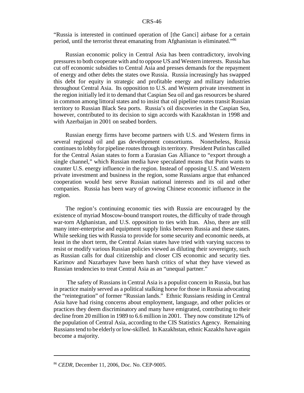"Russia is interested in continued operation of [the Ganci] airbase for a certain period, until the terrorist threat emanating from Afghanistan is eliminated."86

Russian economic policy in Central Asia has been contradictory, involving pressures to both cooperate with and to oppose US and Western interests. Russia has cut off economic subsidies to Central Asia and presses demands for the repayment of energy and other debts the states owe Russia. Russia increasingly has swapped this debt for equity in strategic and profitable energy and military industries throughout Central Asia. Its opposition to U.S. and Western private investment in the region initially led it to demand that Caspian Sea oil and gas resources be shared in common among littoral states and to insist that oil pipeline routes transit Russian territory to Russian Black Sea ports. Russia's oil discoveries in the Caspian Sea, however, contributed to its decision to sign accords with Kazakhstan in 1998 and with Azerbaijan in 2001 on seabed borders.

Russian energy firms have become partners with U.S. and Western firms in several regional oil and gas development consortiums. Nonetheless, Russia continues to lobby for pipeline routes through its territory. President Putin has called for the Central Asian states to form a Eurasian Gas Alliance to "export through a single channel," which Russian media have speculated means that Putin wants to counter U.S. energy influence in the region. Instead of opposing U.S. and Western private investment and business in the region, some Russians argue that enhanced cooperation would best serve Russian national interests and its oil and other companies. Russia has been wary of growing Chinese economic influence in the region.

The region's continuing economic ties with Russia are encouraged by the existence of myriad Moscow-bound transport routes, the difficulty of trade through war-torn Afghanistan, and U.S. opposition to ties with Iran. Also, there are still many inter-enterprise and equipment supply links between Russia and these states. While seeking ties with Russia to provide for some security and economic needs, at least in the short term, the Central Asian states have tried with varying success to resist or modify various Russian policies viewed as diluting their sovereignty, such as Russian calls for dual citizenship and closer CIS economic and security ties. Karimov and Nazarbayev have been harsh critics of what they have viewed as Russian tendencies to treat Central Asia as an "unequal partner."

 The safety of Russians in Central Asia is a populist concern in Russia, but has in practice mainly served as a political stalking horse for those in Russia advocating the "reintegration" of former "Russian lands." Ethnic Russians residing in Central Asia have had rising concerns about employment, language, and other policies or practices they deem discriminatory and many have emigrated, contributing to their decline from 20 million in 1989 to 6.6 million in 2001. They now constitute 12% of the population of Central Asia, according to the CIS Statistics Agency. Remaining Russians tend to be elderly or low-skilled. In Kazakhstan, ethnic Kazakhs have again become a majority.

<sup>86</sup> *CEDR*, December 11, 2006, Doc. No. CEP-9005.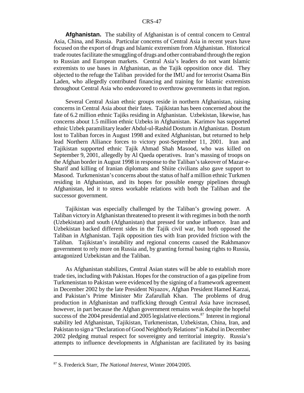**Afghanistan.** The stability of Afghanistan is of central concern to Central Asia, China, and Russia. Particular concerns of Central Asia in recent years have focused on the export of drugs and Islamic extremism from Afghanistan. Historical trade routes facilitate the smuggling of drugs and other contraband through the region to Russian and European markets. Central Asia's leaders do not want Islamic extremists to use bases in Afghanistan, as the Tajik opposition once did. They objected to the refuge the Taliban provided for the IMU and for terrorist Osama Bin Laden, who allegedly contributed financing and training for Islamic extremists throughout Central Asia who endeavored to overthrow governments in that region.

Several Central Asian ethnic groups reside in northern Afghanistan, raising concerns in Central Asia about their fates. Tajikistan has been concerned about the fate of 6.2 million ethnic Tajiks residing in Afghanistan. Uzbekistan, likewise, has concerns about 1.5 million ethnic Uzbeks in Afghanistan. Karimov has supported ethnic Uzbek paramilitary leader Abdul-ul-Rashid Dostum in Afghanistan. Dostum lost to Taliban forces in August 1998 and exited Afghanistan, but returned to help lead Northern Alliance forces to victory post-September 11, 2001. Iran and Tajikistan supported ethnic Tajik Ahmad Shah Masood, who was killed on September 9, 2001, allegedly by Al Qaeda operatives. Iran's massing of troops on the Afghan border in August 1998 in response to the Taliban's takeover of Mazar-e-Sharif and killing of Iranian diplomats and Shiite civilians also gave support to Masood. Turkmenistan's concerns about the status of half a million ethnic Turkmen residing in Afghanistan, and its hopes for possible energy pipelines through Afghanistan, led it to stress workable relations with both the Taliban and the successor government.

Tajikistan was especially challenged by the Taliban's growing power. A Taliban victory in Afghanistan threatened to present it with regimes in both the north (Uzbekistan) and south (Afghanistan) that pressed for undue influence. Iran and Uzbekistan backed different sides in the Tajik civil war, but both opposed the Taliban in Afghanistan. Tajik opposition ties with Iran provided friction with the Taliban. Tajikistan's instability and regional concerns caused the Rakhmanov government to rely more on Russia and, by granting formal basing rights to Russia, antagonized Uzbekistan and the Taliban.

As Afghanistan stabilizes, Central Asian states will be able to establish more trade ties, including with Pakistan. Hopes for the construction of a gas pipeline from Turkmenistan to Pakistan were evidenced by the signing of a framework agreement in December 2002 by the late President Niyazov, Afghan President Hamed Karzai, and Pakistan's Prime Minister Mir Zafarullah Khan. The problems of drug production in Afghanistan and trafficking through Central Asia have increased, however, in part because the Afghan government remains weak despite the hopeful success of the 2004 presidential and 2005 legislative elections.<sup>87</sup> Interest in regional stability led Afghanistan, Tajikistan, Turkmenistan, Uzbekistan, China, Iran, and Pakistan to sign a "Declaration of Good Neighborly Relations" in Kabul in December 2002 pledging mutual respect for sovereignty and territorial integrity. Russia's attempts to influence developments in Afghanistan are facilitated by its basing

<sup>87</sup> S. Frederick Starr, *The National Interest*, Winter 2004/2005.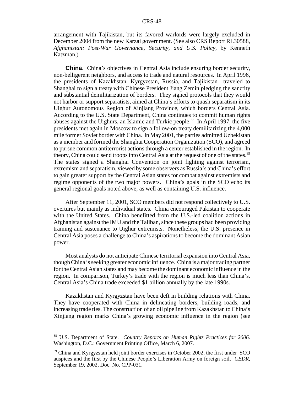arrangement with Tajikistan, but its favored warlords were largely excluded in December 2004 from the new Karzai government. (See also CRS Report RL30588, *Afghanistan: Post-War Governance, Security, and U.S. Policy*, by Kenneth Katzman.)

**China.** China's objectives in Central Asia include ensuring border security, non-belligerent neighbors, and access to trade and natural resources. In April 1996, the presidents of Kazakhstan, Kyrgyzstan, Russia, and Tajikistan traveled to Shanghai to sign a treaty with Chinese President Jiang Zemin pledging the sanctity and substantial demilitarization of borders. They signed protocols that they would not harbor or support separatists, aimed at China's efforts to quash separatism in its Uighur Autonomous Region of Xinjiang Province, which borders Central Asia. According to the U.S. State Department, China continues to commit human rights abuses against the Uighurs, an Islamic and Turkic people.<sup>88</sup> In April 1997, the five presidents met again in Moscow to sign a follow-on treaty demilitarizing the 4,000 mile former Soviet border with China. In May 2001, the parties admitted Uzbekistan as a member and formed the Shanghai Cooperation Organization (SCO), and agreed to pursue common antiterrorist actions through a center established in the region. In theory, China could send troops into Central Asia at the request of one of the states.<sup>89</sup> The states signed a Shanghai Convention on joint fighting against terrorism, extremism and separatism, viewed by some observers as Russia's and China's effort to gain greater support by the Central Asian states for combat against extremists and regime opponents of the two major powers. China's goals in the SCO echo its general regional goals noted above, as well as containing U.S. influence.

After September 11, 2001, SCO members did not respond collectively to U.S. overtures but mainly as individual states. China encouraged Pakistan to cooperate with the United States. China benefitted from the U.S.-led coalition actions in Afghanistan against the IMU and the Taliban, since these groups had been providing training and sustenance to Uighur extremists. Nonetheless, the U.S. presence in Central Asia poses a challenge to China's aspirations to become the dominant Asian power.

Most analysts do not anticipate Chinese territorial expansion into Central Asia, though China is seeking greater economic influence. China is a major trading partner for the Central Asian states and may become the dominant economic influence in the region. In comparison, Turkey's trade with the region is much less than China's. Central Asia's China trade exceeded \$1 billion annually by the late 1990s.

Kazakhstan and Kyrgyzstan have been deft in building relations with China. They have cooperated with China in delineating borders, building roads, and increasing trade ties. The construction of an oil pipeline from Kazakhstan to China's Xinjiang region marks China's growing economic influence in the region (see

<sup>88</sup> U.S. Department of State. *Country Reports on Human Rights Practices for 2006*. Washington, D.C.: Government Printing Office, March 6, 2007.

<sup>&</sup>lt;sup>89</sup> China and Kyrgyzstan held joint border exercises in October 2002, the first under SCO auspices and the first by the Chinese People's Liberation Army on foreign soil. *CEDR*, September 19, 2002, Doc. No. CPP-031.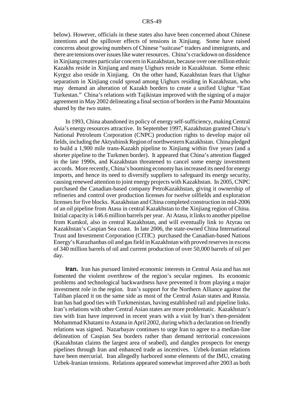below). However, officials in these states also have been concerned about Chinese intentions and the spillover effects of tensions in Xinjiang. Some have raised concerns about growing numbers of Chinese "suitcase" traders and immigrants, and there are tensions over issues like water resources. China's crackdown on dissidence in Xinjiang creates particular concern in Kazakhstan, because over one million ethnic Kazakhs reside in Xinjiang and many Uighurs reside in Kazakhstan. Some ethnic Kyrgyz also reside in Xinjiang. On the other hand, Kazakhstan fears that Uighur separatism in Xinjiang could spread among Uighurs residing in Kazakhstan, who may demand an alteration of Kazakh borders to create a unified Uighur "East Turkestan." China's relations with Tajikistan improved with the signing of a major agreement in May 2002 delineating a final section of borders in the Pamir Mountains shared by the two states.

In 1993, China abandoned its policy of energy self-sufficiency, making Central Asia's energy resources attractive. In September 1997, Kazakhstan granted China's National Petroleum Corporation (CNPC) production rights to develop major oil fields, including the Aktyubinsk Region of northwestern Kazakhstan. China pledged to build a 1,900 mile trans-Kazakh pipeline to Xinjiang within five years (and a shorter pipeline to the Turkmen border). It appeared that China's attention flagged in the late 1990s, and Kazakhstan threatened to cancel some energy investment accords. More recently, China's booming economy has increased its need for energy imports, and hence its need to diversify suppliers to safeguard its energy security, causing renewed attention to joint energy projects with Kazakhstan. In 2005, CNPC purchased the Canadian-based company PetroKazakhstan, giving it ownership of refineries and control over production licenses for twelve oilfields and exploration licenses for five blocks. Kazakhstan and China completed construction in mid-2006 of an oil pipeline from Atasu in central Kazakhstan to the Xinjiang region of China. Initial capacity is 146.6 million barrels per year. At Atasu, it links to another pipeline from Kumkol, also in central Kazakhstan, and will eventually link to Atyrau on Kazakhstan's Caspian Sea coast. In late 2006, the state-owned China International Trust and Investment Corporation (CITIC) purchased the Canadian-based Nations Energy's Karazhanbas oil and gas field in Kazakhstan with proved reserves in excess of 340 million barrels of oil and current production of over 50,000 barrels of oil per day.

**Iran.** Iran has pursued limited economic interests in Central Asia and has not fomented the violent overthrow of the region's secular regimes. Its economic problems and technological backwardness have prevented it from playing a major investment role in the region. Iran's support for the Northern Alliance against the Taliban placed it on the same side as most of the Central Asian states and Russia. Iran has had good ties with Turkmenistan, having established rail and pipeline links. Iran's relations with other Central Asian states are more problematic. Kazakhstan's ties with Iran have improved in recent years with a visit by Iran's then-president Mohammad Khatami to Astana in April 2002, during which a declaration on friendly relations was signed. Nazarbayav continues to urge Iran to agree to a median-line delineation of Caspian Sea borders rather than demand territorial concessions (Kazakhstan claims the largest area of seabed), and dangles prospects for energy pipelines through Iran and enhanced trade as incentives. Uzbek-Iranian relations have been mercurial. Iran allegedly harbored some elements of the IMU, creating Uzbek-Iranian tensions. Relations appeared somewhat improved after 2003 as both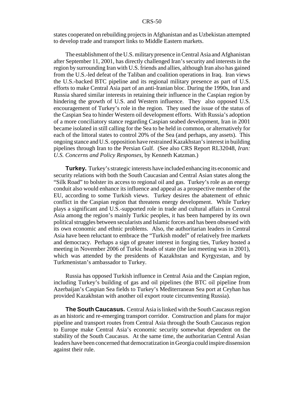states cooperated on rebuilding projects in Afghanistan and as Uzbekistan attempted to develop trade and transport links to Middle Eastern markets.

The establishment of the U.S. military presence in Central Asia and Afghanistan after September 11, 2001, has directly challenged Iran's security and interests in the region by surrounding Iran with U.S. friends and allies, although Iran also has gained from the U.S.-led defeat of the Taliban and coalition operations in Iraq. Iran views the U.S.-backed BTC pipeline and its regional military presence as part of U.S. efforts to make Central Asia part of an anti-Iranian bloc. During the 1990s, Iran and Russia shared similar interests in retaining their influence in the Caspian region by hindering the growth of U.S. and Western influence. They also opposed U.S. encouragement of Turkey's role in the region. They used the issue of the status of the Caspian Sea to hinder Western oil development efforts. With Russia's adoption of a more conciliatory stance regarding Caspian seabed development, Iran in 2001 became isolated in still calling for the Sea to be held in common, or alternatively for each of the littoral states to control 20% of the Sea (and perhaps, any assets). This ongoing stance and U.S. opposition have restrained Kazakhstan's interest in building pipelines through Iran to the Persian Gulf. (See also CRS Report RL32048, *Iran: U.S. Concerns and Policy Responses*, by Kenneth Katzman.)

**Turkey.** Turkey's strategic interests have included enhancing its economic and security relations with both the South Caucasian and Central Asian states along the "Silk Road" to bolster its access to regional oil and gas. Turkey's role as an energy conduit also would enhance its influence and appeal as a prospective member of the EU, according to some Turkish views. Turkey desires the abatement of ethnic conflict in the Caspian region that threatens energy development. While Turkey plays a significant and U.S.-supported role in trade and cultural affairs in Central Asia among the region's mainly Turkic peoples, it has been hampered by its own political struggles between secularists and Islamic forces and has been obsessed with its own economic and ethnic problems. Also, the authoritarian leaders in Central Asia have been reluctant to embrace the "Turkish model" of relatively free markets and democracy. Perhaps a sign of greater interest in forging ties, Turkey hosted a meeting in November 2006 of Turkic heads of state (the last meeting was in 2001), which was attended by the presidents of Kazakhstan and Kyrgyzstan, and by Turkmenistan's ambassador to Turkey.

Russia has opposed Turkish influence in Central Asia and the Caspian region, including Turkey's building of gas and oil pipelines (the BTC oil pipeline from Azerbaijan's Caspian Sea fields to Turkey's Mediterranean Sea port at Ceyhan has provided Kazakhstan with another oil export route circumventing Russia).

**The South Caucasus.** Central Asia is linked with the South Caucasus region as an historic and re-emerging transport corridor. Construction and plans for major pipeline and transport routes from Central Asia through the South Caucasus region to Europe make Central Asia's economic security somewhat dependent on the stability of the South Caucasus. At the same time, the authoritarian Central Asian leaders have been concerned that democratization in Georgia could inspire dissension against their rule.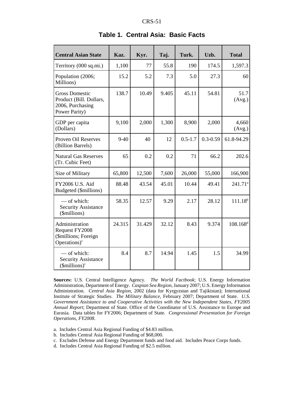| <b>Central Asian State</b>                                                            | Kaz.   | Kyr.   | Taj.  | Turk.       | Uzb.         | <b>Total</b>    |
|---------------------------------------------------------------------------------------|--------|--------|-------|-------------|--------------|-----------------|
| Territory (000 sq.mi.)                                                                | 1,100  | 77     | 55.8  | 190         | 174.5        | 1,597.3         |
| Population (2006;<br>Millions)                                                        | 15.2   | 5.2    | 7.3   | 5.0         | 27.3         | 60              |
| <b>Gross Domestic</b><br>Product (Bill. Dollars,<br>2006, Purchasing<br>Power Parity) | 138.7  | 10.49  | 9.405 | 45.11       | 54.81        | 51.7<br>(Avg.)  |
| GDP per capita<br>(Dollars)                                                           | 9,100  | 2,000  | 1,300 | 8,900       | 2,000        | 4,660<br>(Avg.) |
| Proven Oil Reserves<br>(Billion Barrels)                                              | $9-40$ | 40     | 12    | $0.5 - 1.7$ | $0.3 - 0.59$ | 61.8-94.29      |
| <b>Natural Gas Reserves</b><br>(Tr. Cubic Feet)                                       | 65     | 0.2    | 0.2   | 71          | 66.2         | 202.6           |
| Size of Military                                                                      | 65,800 | 12,500 | 7,600 | 26,000      | 55,000       | 166,900         |
| FY2006 U.S. Aid<br>Budgeted (\$millions)                                              | 88.48  | 43.54  | 45.01 | 10.44       | 49.41        | $241.71^a$      |
| — of which:<br><b>Security Assistance</b><br>(\$millions)                             | 58.35  | 12.57  | 9.29  | 2.17        | 28.12        | $111.18^{b}$    |
| Administration<br>Request FY2008<br>(\$millions; Foreign<br>Operations) $\text{c}$    | 24.315 | 31.429 | 32.12 | 8.43        | 9.374        | $108.168^{d}$   |
| - of which:<br><b>Security Assistance</b><br>$(\text{Imillions})^c$                   | 8.4    | 8.7    | 14.94 | 1.45        | 1.5          | 34.99           |

## **Table 1. Central Asia: Basic Facts**

**Sources:** U.S. Central Intelligence Agency. *The World Factbook*; U.S. Energy Information Administration, Department of Energy. *Caspian Sea Region*, January 2007; U.S. Energy Information Administration. *Central Asia Region*, 2002 (data for Kyrgyzstan and Tajikistan); International Institute of Strategic Studies. *The Military Balance,* February 2007; Department of State. *U.S. Government Assistance to and Cooperative Activities with the New Independent States, FY2005 Annual Report*; Department of State. Office of the Coordinator of U.S. Assistance to Europe and Eurasia. Data tables for FY2006; Department of State. *Congressional Presentation for Foreign Operations, FY2008*.

- a. Includes Central Asia Regional Funding of \$4.83 million.
- b. Includes Central Asia Regional Funding of \$68,000.
- c. Excludes Defense and Energy Department funds and food aid. Includes Peace Corps funds.
- d. Includes Central Asia Regional Funding of \$2.5 million.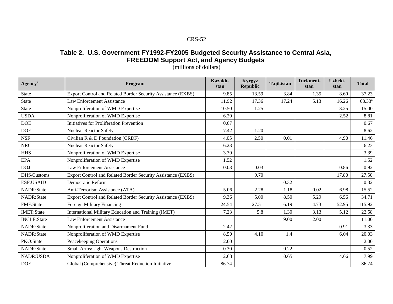## **Table 2. U.S. Government FY1992-FY2005 Budgeted Security Assistance to Central Asia, FREEDOM Support Act, and Agency Budgets**

| <b>Agency</b> <sup>a</sup> | Program                                                      | Kazakh-<br>stan | Kyrgyz<br><b>Republic</b> | <b>Tajikistan</b> | Turkmeni-<br>stan | Uzbeki-<br>stan | <b>Total</b>       |
|----------------------------|--------------------------------------------------------------|-----------------|---------------------------|-------------------|-------------------|-----------------|--------------------|
| <b>State</b>               | Export Control and Related Border Security Assistance (EXBS) | 9.85            | 13.59                     | 3.84              | 1.35              | 8.60            | 37.23              |
| <b>State</b>               | <b>Law Enforcement Assistance</b>                            | 11.92           | 17.36                     | 17.24             | 5.13              | 16.26           | 68.33 <sup>a</sup> |
| <b>State</b>               | Nonproliferation of WMD Expertise                            | 10.50           | 1.25                      |                   |                   | 3.25            | 15.00              |
| <b>USDA</b>                | Nonproliferation of WMD Expertise                            | 6.29            |                           |                   |                   | 2.52            | 8.81               |
| <b>DOE</b>                 | Initiatives for Proliferation Prevention                     | 0.67            |                           |                   |                   |                 | 0.67               |
| <b>DOE</b>                 | <b>Nuclear Reactor Safety</b>                                | 7.42            | 1.20                      |                   |                   |                 | 8.62               |
| <b>NSF</b>                 | Civilian R & D Foundation (CRDF)                             | 4.05            | 2.50                      | 0.01              |                   | 4.90            | 11.46              |
| <b>NRC</b>                 | <b>Nuclear Reactor Safety</b>                                | 6.23            |                           |                   |                   |                 | 6.23               |
| <b>HHS</b>                 | Nonproliferation of WMD Expertise                            | 3.39            |                           |                   |                   |                 | 3.39               |
| <b>EPA</b>                 | Nonproliferation of WMD Expertise                            | 1.52            |                           |                   |                   |                 | 1.52               |
| <b>DOJ</b>                 | <b>Law Enforcement Assistance</b>                            | 0.03            | 0.03                      |                   |                   | 0.86            | 0.92               |
| DHS/Customs                | Export Control and Related Border Security Assistance (EXBS) |                 | 9.70                      |                   |                   | 17.80           | 27.50              |
| <b>ESF:USAID</b>           | Democratic Reform                                            |                 |                           | 0.32              |                   |                 | 0.32               |
| NADR:State                 | Anti-Terrorism Assistance (ATA)                              | 5.06            | 2.28                      | 1.18              | 0.02              | 6.98            | 15.52              |
| NADR:State                 | Export Control and Related Border Security Assistance (EXBS) | 9.36            | 5.00                      | 8.50              | 5.29              | 6.56            | 34.71              |
| FMF:State                  | Foreign Military Financing                                   | 24.54           | 27.51                     | 6.19              | 4.73              | 52.95           | 115.92             |
| <b>IMET:State</b>          | International Military Education and Training (IMET)         | 7.23            | 5.8                       | 1.30              | 3.13              | 5.12            | 22.58              |
| <b>INCLE:State</b>         | <b>Law Enforcement Assistance</b>                            |                 |                           | 9.00              | 2.00              |                 | 11.00              |
| NADR:State                 | Nonproliferation and Disarmament Fund                        | 2.42            |                           |                   |                   | 0.91            | 3.33               |
| NADR:State                 | Nonproliferation of WMD Expertise                            | 8.50            | 4.10                      | 1.4               |                   | 6.04            | 20.03              |
| PKO:State                  | Peacekeeping Operations                                      | 2.00            |                           |                   |                   |                 | 2.00               |
| NADR:State                 | Small Arms/Light Weapons Destruction                         | 0.30            |                           | 0.22              |                   |                 | 0.52               |
| <b>NADR:USDA</b>           | Nonproliferation of WMD Expertise                            | 2.68            |                           | 0.65              |                   | 4.66            | 7.99               |
| <b>DOE</b>                 | Global (Comprehensive) Threat Reduction Initiative           | 86.74           |                           |                   |                   |                 | 86.74              |

(millions of dollars)